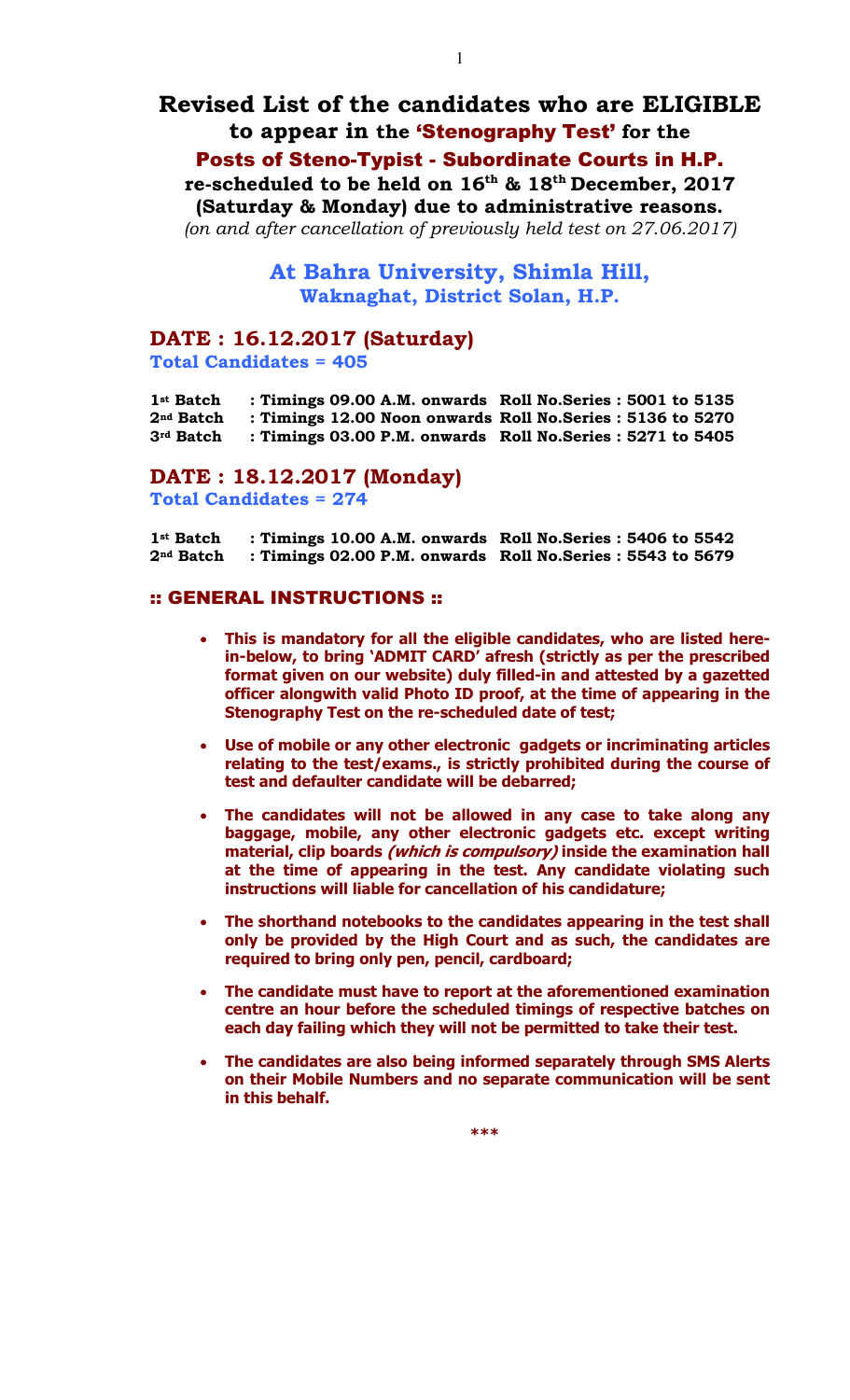# **Revised List of the candidates who are ELIGIBLE to appear in the** 'Stenography Test' **for the**  Posts of Steno-Typist - Subordinate Courts in H.P.

**re-scheduled to be held on 16th & 18th December, 2017 (Saturday & Monday) due to administrative reasons.**

*(on and after cancellation of previously held test on 27.06.2017)*

**At Bahra University, Shimla Hill, Waknaghat, District Solan, H.P.** 

### **DATE : 16.12.2017 (Saturday)**

**Total Candidates = 405**

**1st Batch : Timings 09.00 A.M. onwards Roll No.Series : 5001 to 5135 2nd Batch : Timings 12.00 Noon onwards Roll No.Series : 5136 to 5270 3rd Batch : Timings 03.00 P.M. onwards Roll No.Series : 5271 to 5405**

### **DATE : 18.12.2017 (Monday) Total Candidates = 274**

**1st Batch : Timings 10.00 A.M. onwards Roll No.Series : 5406 to 5542 2nd Batch : Timings 02.00 P.M. onwards Roll No.Series : 5543 to 5679**

#### :: GENERAL INSTRUCTIONS ::

- **This is mandatory for all the eligible candidates, who are listed herein-below, to bring 'ADMIT CARD' afresh (strictly as per the prescribed format given on our website) duly filled-in and attested by a gazetted officer alongwith valid Photo ID proof, at the time of appearing in the Stenography Test on the re-scheduled date of test;**
- **Use of mobile or any other electronic gadgets or incriminating articles relating to the test/exams., is strictly prohibited during the course of test and defaulter candidate will be debarred;**
- **The candidates will not be allowed in any case to take along any baggage, mobile, any other electronic gadgets etc. except writing material, clip boards (which is compulsory) inside the examination hall at the time of appearing in the test. Any candidate violating such instructions will liable for cancellation of his candidature;**
- **The shorthand notebooks to the candidates appearing in the test shall only be provided by the High Court and as such, the candidates are required to bring only pen, pencil, cardboard;**
- **The candidate must have to report at the aforementioned examination centre an hour before the scheduled timings of respective batches on each day failing which they will not be permitted to take their test.**
- **The candidates are also being informed separately through SMS Alerts on their Mobile Numbers and no separate communication will be sent in this behalf.**

**\*\*\***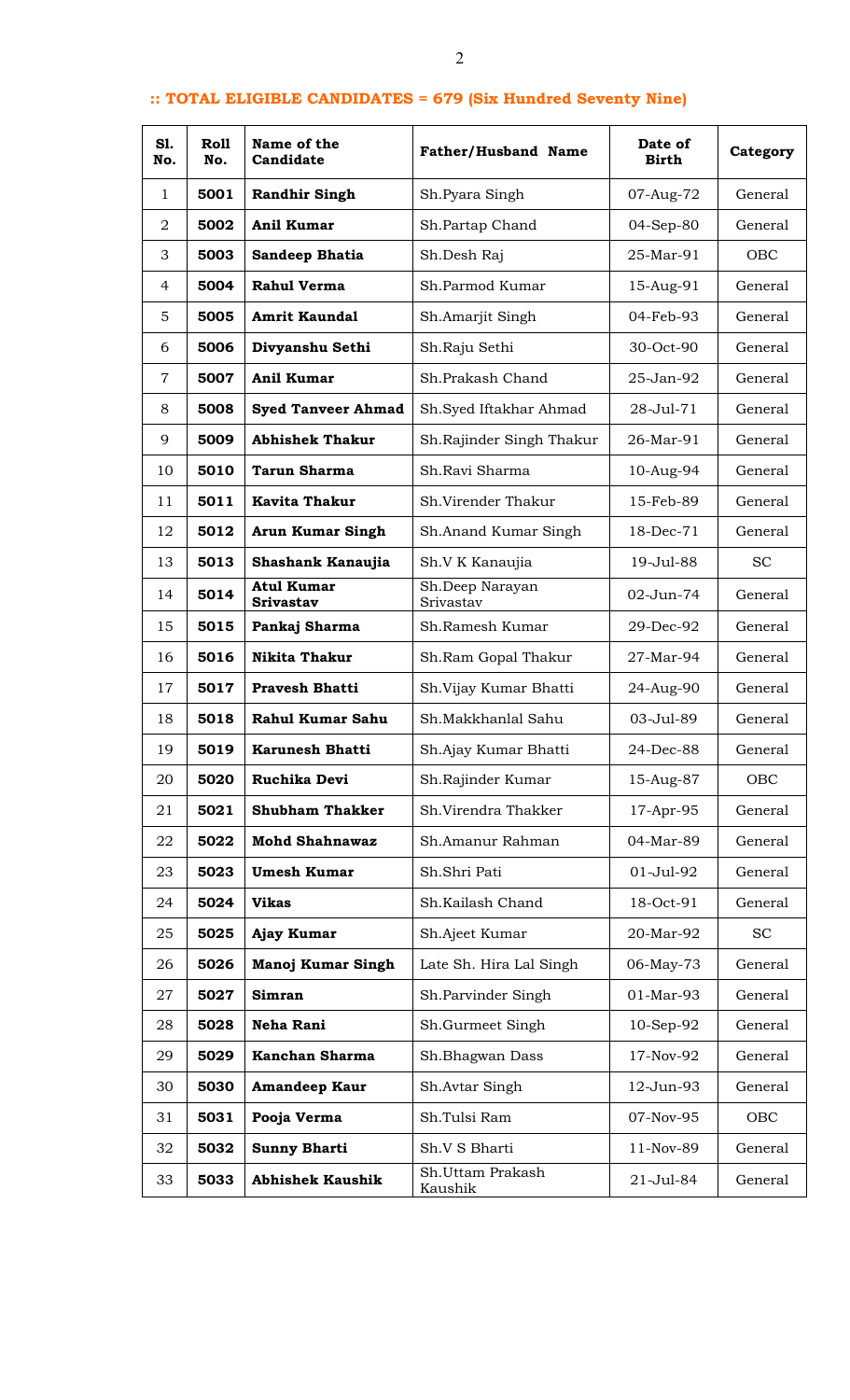## **:: TOTAL ELIGIBLE CANDIDATES = 679 (Six Hundred Seventy Nine)**

| S1.<br>No.     | Roll<br>No. | Name of the<br>Candidate              | <b>Father/Husband Name</b>   | Date of<br>Birth | Category  |
|----------------|-------------|---------------------------------------|------------------------------|------------------|-----------|
| 1              | 5001        | <b>Randhir Singh</b>                  | Sh.Pyara Singh               | 07-Aug-72        | General   |
| 2              | 5002        | <b>Anil Kumar</b>                     | Sh.Partap Chand              | 04-Sep-80        | General   |
| 3              | 5003        | Sandeep Bhatia                        | Sh.Desh Raj                  | 25-Mar-91        | OBC       |
| 4              | 5004        | <b>Rahul Verma</b>                    | Sh.Parmod Kumar              | 15-Aug-91        | General   |
| 5              | 5005        | <b>Amrit Kaundal</b>                  | Sh.Amarjit Singh             | 04-Feb-93        | General   |
| 6              | 5006        | Divyanshu Sethi                       | Sh.Raju Sethi                | 30-Oct-90        | General   |
| $\overline{7}$ | 5007        | <b>Anil Kumar</b>                     | Sh.Prakash Chand             | 25-Jan-92        | General   |
| 8              | 5008        | <b>Syed Tanveer Ahmad</b>             | Sh.Syed Iftakhar Ahmad       | 28-Jul-71        | General   |
| 9              | 5009        | <b>Abhishek Thakur</b>                | Sh.Rajinder Singh Thakur     | 26-Mar-91        | General   |
| 10             | 5010        | <b>Tarun Sharma</b>                   | Sh.Ravi Sharma               | 10-Aug-94        | General   |
| 11             | 5011        | <b>Kavita Thakur</b>                  | Sh.Virender Thakur           | 15-Feb-89        | General   |
| 12             | 5012        | <b>Arun Kumar Singh</b>               | Sh.Anand Kumar Singh         | 18-Dec-71        | General   |
| 13             | 5013        | Shashank Kanaujia                     | Sh.V K Kanaujia              | 19-Jul-88        | <b>SC</b> |
| 14             | 5014        | <b>Atul Kumar</b><br><b>Srivastav</b> | Sh.Deep Narayan<br>Srivastav | 02-Jun-74        | General   |
| 15             | 5015        | Pankaj Sharma                         | Sh.Ramesh Kumar              | 29-Dec-92        | General   |
| 16             | 5016        | <b>Nikita Thakur</b>                  | Sh.Ram Gopal Thakur          | 27-Mar-94        | General   |
| 17             | 5017        | <b>Pravesh Bhatti</b>                 | Sh.Vijay Kumar Bhatti        | 24-Aug-90        | General   |
| 18             | 5018        | Rahul Kumar Sahu                      | Sh.Makkhanlal Sahu           | 03-Jul-89        | General   |
| 19             | 5019        | <b>Karunesh Bhatti</b>                | Sh.Ajay Kumar Bhatti         | 24-Dec-88        | General   |
| 20             | 5020        | Ruchika Devi                          | Sh.Rajinder Kumar            | 15-Aug-87        | OBC       |
| 21             | 5021        | <b>Shubham Thakker</b>                | Sh.Virendra Thakker          | 17-Apr-95        | General   |
| 22             | 5022        | <b>Mohd Shahnawaz</b>                 | Sh.Amanur Rahman             | 04-Mar-89        | General   |
| 23             | 5023        | <b>Umesh Kumar</b>                    | Sh.Shri Pati                 | $01 -$ Jul $-92$ | General   |
| 24             | 5024        | <b>Vikas</b>                          | Sh.Kailash Chand             | 18-Oct-91        | General   |
| 25             | 5025        | Ajay Kumar                            | Sh.Ajeet Kumar               | 20-Mar-92        | <b>SC</b> |
| 26             | 5026        | Manoj Kumar Singh                     | Late Sh. Hira Lal Singh      | 06-May-73        | General   |
| 27             | 5027        | Simran                                | Sh.Parvinder Singh           | 01-Mar-93        | General   |
| 28             | 5028        | Neha Rani                             | Sh.Gurmeet Singh             | 10-Sep-92        | General   |
| 29             | 5029        | Kanchan Sharma                        | Sh.Bhagwan Dass              | 17-Nov-92        | General   |
| 30             | 5030        | <b>Amandeep Kaur</b>                  | Sh.Avtar Singh               | 12-Jun-93        | General   |
| 31             | 5031        | Pooja Verma                           | Sh.Tulsi Ram                 | 07-Nov-95        | OBC       |
| 32             | 5032        | <b>Sunny Bharti</b>                   | Sh.V S Bharti                | 11-Nov-89        | General   |
| 33             | 5033        | <b>Abhishek Kaushik</b>               | Sh.Uttam Prakash<br>Kaushik  | 21-Jul-84        | General   |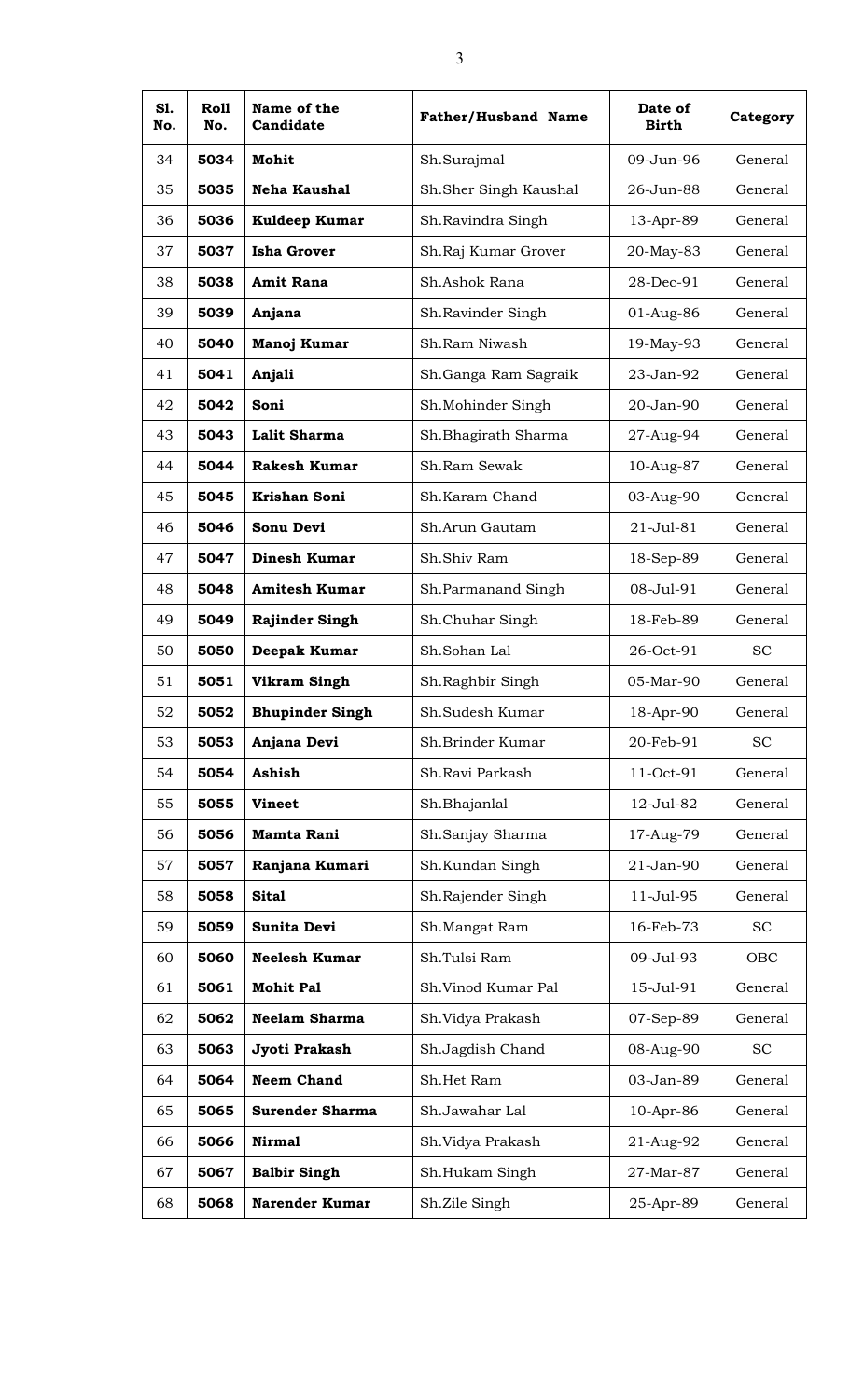| S1.<br>No. | Roll<br>No. | Name of the<br>Candidate | <b>Father/Husband Name</b> | Date of<br><b>Birth</b> | Category  |
|------------|-------------|--------------------------|----------------------------|-------------------------|-----------|
| 34         | 5034        | Mohit                    | Sh.Surajmal                | 09-Jun-96               | General   |
| 35         | 5035        | <b>Neha Kaushal</b>      | Sh.Sher Singh Kaushal      | 26-Jun-88               | General   |
| 36         | 5036        | Kuldeep Kumar            | Sh.Ravindra Singh          | 13-Apr-89               | General   |
| 37         | 5037        | <b>Isha Grover</b>       | Sh.Raj Kumar Grover        | 20-May-83               | General   |
| 38         | 5038        | <b>Amit Rana</b>         | Sh.Ashok Rana              | 28-Dec-91               | General   |
| 39         | 5039        | Anjana                   | Sh.Ravinder Singh          | 01-Aug-86               | General   |
| 40         | 5040        | Manoj Kumar              | Sh.Ram Niwash              | 19-May-93               | General   |
| 41         | 5041        | Anjali                   | Sh.Ganga Ram Sagraik       | 23-Jan-92               | General   |
| 42         | 5042        | Soni                     | Sh.Mohinder Singh          | 20-Jan-90               | General   |
| 43         | 5043        | Lalit Sharma             | Sh.Bhagirath Sharma        | 27-Aug-94               | General   |
| 44         | 5044        | <b>Rakesh Kumar</b>      | Sh.Ram Sewak               | 10-Aug-87               | General   |
| 45         | 5045        | <b>Krishan Soni</b>      | Sh.Karam Chand             | 03-Aug-90               | General   |
| 46         | 5046        | Sonu Devi                | Sh.Arun Gautam             | $21 -$ Jul $-81$        | General   |
| 47         | 5047        | Dinesh Kumar             | Sh.Shiv Ram                | 18-Sep-89               | General   |
| 48         | 5048        | <b>Amitesh Kumar</b>     | Sh.Parmanand Singh         | 08-Jul-91               | General   |
| 49         | 5049        | <b>Rajinder Singh</b>    | Sh.Chuhar Singh            | 18-Feb-89               | General   |
| 50         | 5050        | Deepak Kumar             | Sh.Sohan Lal               | 26-Oct-91               | <b>SC</b> |
| 51         | 5051        | <b>Vikram Singh</b>      | Sh.Raghbir Singh           | 05-Mar-90               | General   |
| 52         | 5052        | <b>Bhupinder Singh</b>   | Sh.Sudesh Kumar            | 18-Apr-90               | General   |
| 53         | 5053        | Anjana Devi              | Sh.Brinder Kumar           | 20-Feb-91               | <b>SC</b> |
| 54         | 5054        | <b>Ashish</b>            | Sh.Ravi Parkash            | 11-Oct-91               | General   |
| 55         | 5055        | <b>Vineet</b>            | Sh.Bhajanlal               | 12-Jul-82               | General   |
| 56         | 5056        | <b>Mamta Rani</b>        | Sh.Sanjay Sharma           | 17-Aug-79               | General   |
| 57         | 5057        | Ranjana Kumari           | Sh.Kundan Singh            | 21-Jan-90               | General   |
| 58         | 5058        | <b>Sital</b>             | Sh.Rajender Singh          | 11-Jul-95               | General   |
| 59         | 5059        | Sunita Devi              | Sh.Mangat Ram              | 16-Feb-73               | <b>SC</b> |
| 60         | 5060        | <b>Neelesh Kumar</b>     | Sh.Tulsi Ram               | 09-Jul-93               | OBC       |
| 61         | 5061        | <b>Mohit Pal</b>         | Sh.Vinod Kumar Pal         | 15-Jul-91               | General   |
| 62         | 5062        | <b>Neelam Sharma</b>     | Sh.Vidya Prakash           | 07-Sep-89               | General   |
| 63         | 5063        | Jyoti Prakash            | Sh.Jagdish Chand           | 08-Aug-90               | <b>SC</b> |
| 64         | 5064        | <b>Neem Chand</b>        | Sh.Het Ram                 | 03-Jan-89               | General   |
| 65         | 5065        | <b>Surender Sharma</b>   | Sh.Jawahar Lal             | 10-Apr-86               | General   |
| 66         | 5066        | <b>Nirmal</b>            | Sh.Vidya Prakash           | 21-Aug-92               | General   |
| 67         | 5067        | <b>Balbir Singh</b>      | Sh.Hukam Singh             | 27-Mar-87               | General   |
| 68         | 5068        | Narender Kumar           | Sh.Zile Singh              | 25-Apr-89               | General   |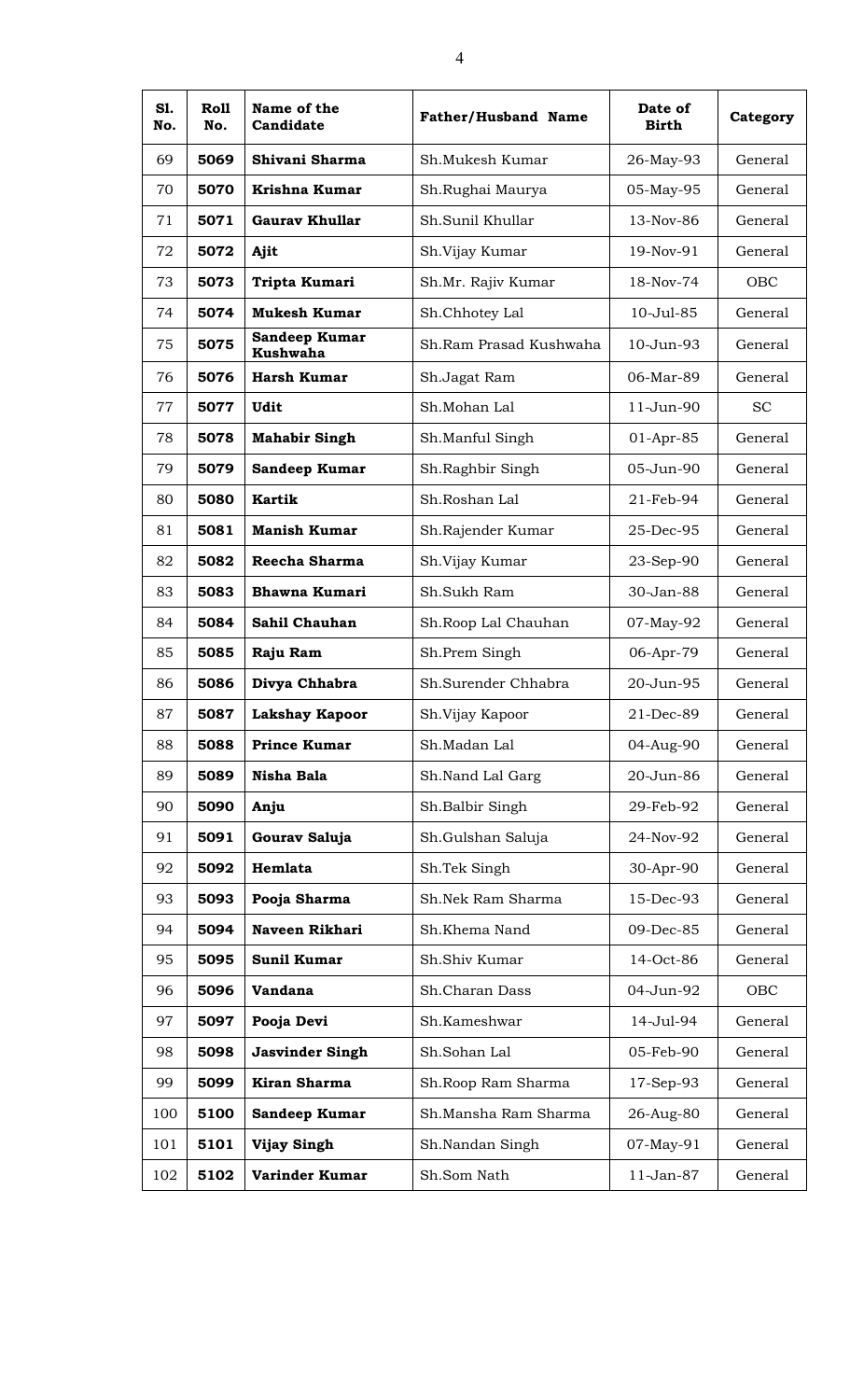| SI.<br>No. | Roll<br>No. | Name of the<br>Candidate         | <b>Father/Husband Name</b> | Date of<br><b>Birth</b> | Category  |
|------------|-------------|----------------------------------|----------------------------|-------------------------|-----------|
| 69         | 5069        | Shivani Sharma                   | Sh.Mukesh Kumar            | 26-May-93               | General   |
| 70         | 5070        | Krishna Kumar                    | Sh.Rughai Maurya           | 05-May-95               | General   |
| 71         | 5071        | <b>Gaurav Khullar</b>            | Sh.Sunil Khullar           | $13-Nov-86$             | General   |
| 72         | 5072        | Ajit                             | Sh.Vijay Kumar             | 19-Nov-91               | General   |
| 73         | 5073        | Tripta Kumari                    | Sh.Mr. Rajiv Kumar         | 18-Nov-74               | OBC       |
| 74         | 5074        | <b>Mukesh Kumar</b>              | Sh.Chhotey Lal             | 10-Jul-85               | General   |
| 75         | 5075        | Sandeep Kumar<br><b>Kushwaha</b> | Sh.Ram Prasad Kushwaha     | 10-Jun-93               | General   |
| 76         | 5076        | <b>Harsh Kumar</b>               | Sh.Jagat Ram               | 06-Mar-89               | General   |
| 77         | 5077        | <b>Udit</b>                      | Sh.Mohan Lal               | 11-Jun-90               | <b>SC</b> |
| 78         | 5078        | <b>Mahabir Singh</b>             | Sh.Manful Singh            | 01-Apr-85               | General   |
| 79         | 5079        | Sandeep Kumar                    | Sh.Raghbir Singh           | 05-Jun-90               | General   |
| 80         | 5080        | <b>Kartik</b>                    | Sh.Roshan Lal              | 21-Feb-94               | General   |
| 81         | 5081        | <b>Manish Kumar</b>              | Sh.Rajender Kumar          | 25-Dec-95               | General   |
| 82         | 5082        | Reecha Sharma                    | Sh.Vijay Kumar             | 23-Sep-90               | General   |
| 83         | 5083        | <b>Bhawna Kumari</b>             | Sh.Sukh Ram                | 30-Jan-88               | General   |
| 84         | 5084        | Sahil Chauhan                    | Sh.Roop Lal Chauhan        | 07-May-92               | General   |
| 85         | 5085        | Raju Ram                         | Sh.Prem Singh              | 06-Apr-79               | General   |
| 86         | 5086        | Divya Chhabra                    | Sh.Surender Chhabra        | 20-Jun-95               | General   |
| 87         | 5087        | <b>Lakshay Kapoor</b>            | Sh. Vijay Kapoor           | 21-Dec-89               | General   |
| 88         | 5088        | <b>Prince Kumar</b>              | Sh.Madan Lal               | 04-Aug-90               | General   |
| 89         | 5089        | <b>Nisha Bala</b>                | Sh.Nand Lal Garg           | 20-Jun-86               | General   |
| 90         | 5090        | Anju                             | Sh.Balbir Singh            | 29-Feb-92               | General   |
| 91         | 5091        | Gourav Saluja                    | Sh.Gulshan Saluja          | 24-Nov-92               | General   |
| 92         | 5092        | Hemlata                          | Sh.Tek Singh               | 30-Apr-90               | General   |
| 93         | 5093        | Pooja Sharma                     | Sh.Nek Ram Sharma          | 15-Dec-93               | General   |
| 94         | 5094        | Naveen Rikhari                   | Sh.Khema Nand              | 09-Dec-85               | General   |
| 95         | 5095        | <b>Sunil Kumar</b>               | Sh.Shiv Kumar              | 14-Oct-86               | General   |
| 96         | 5096        | Vandana                          | Sh.Charan Dass             | 04-Jun-92               | OBC       |
| 97         | 5097        | Pooja Devi                       | Sh.Kameshwar               | 14-Jul-94               | General   |
| 98         | 5098        | <b>Jasvinder Singh</b>           | Sh.Sohan Lal               | 05-Feb-90               | General   |
| 99         | 5099        | Kiran Sharma                     | Sh.Roop Ram Sharma         | 17-Sep-93               | General   |
| 100        | 5100        | Sandeep Kumar                    | Sh.Mansha Ram Sharma       | 26-Aug-80               | General   |
| 101        | 5101        | Vijay Singh                      | Sh.Nandan Singh            | 07-May-91               | General   |
| 102        | 5102        | Varinder Kumar                   | Sh.Som Nath                | 11-Jan-87               | General   |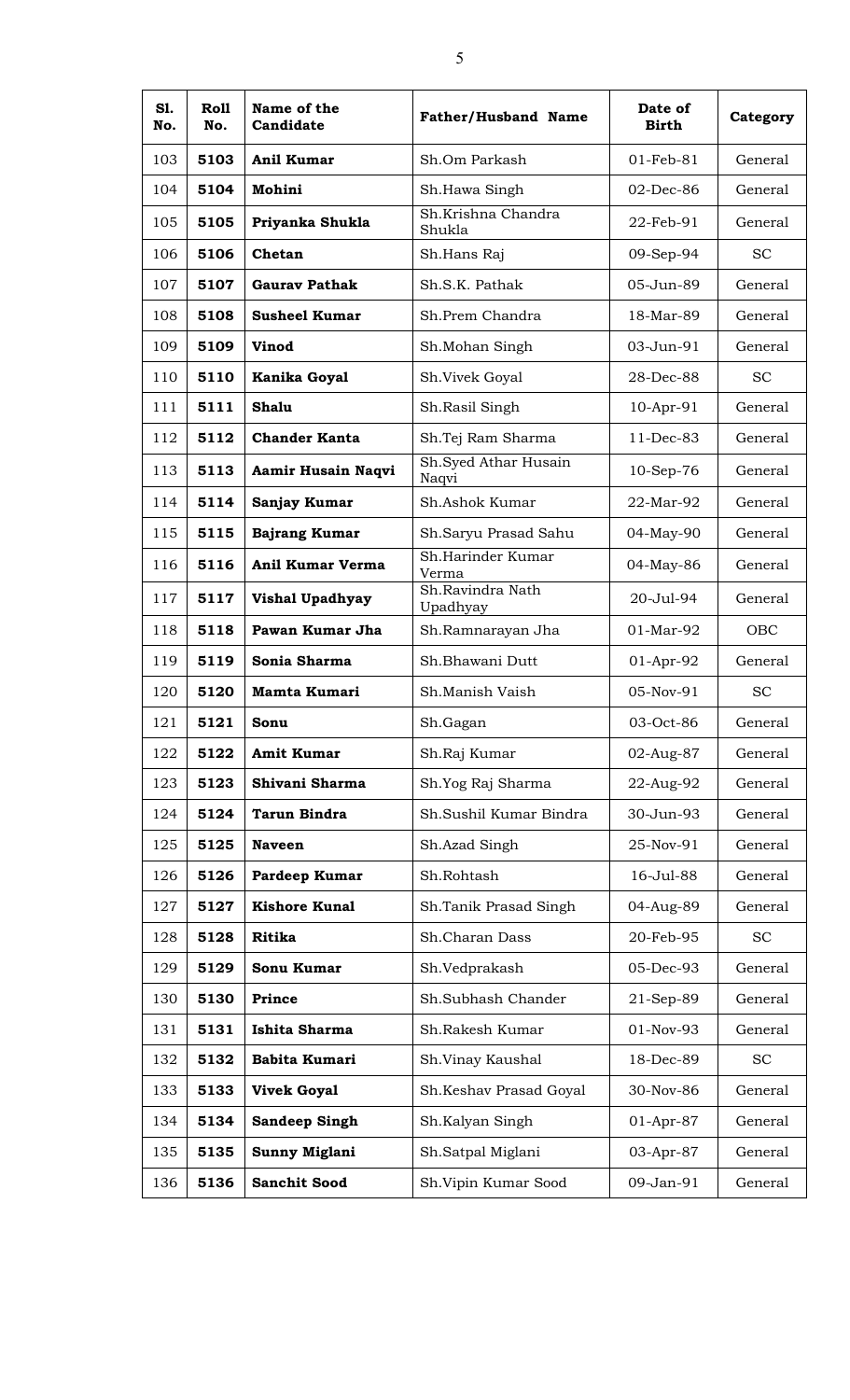| S1.<br>No. | Roll<br>No. | Name of the<br>Candidate | <b>Father/Husband Name</b>    | Date of<br><b>Birth</b> | Category  |
|------------|-------------|--------------------------|-------------------------------|-------------------------|-----------|
| 103        | 5103        | Anil Kumar               | Sh.Om Parkash                 | $01$ -Feb-81            | General   |
| 104        | 5104        | Mohini                   | Sh.Hawa Singh                 | $02$ -Dec-86            | General   |
| 105        | 5105        | Priyanka Shukla          | Sh.Krishna Chandra<br>Shukla  | 22-Feb-91               | General   |
| 106        | 5106        | Chetan                   | Sh.Hans Raj                   | 09-Sep-94               | <b>SC</b> |
| 107        | 5107        | <b>Gaurav Pathak</b>     | Sh.S.K. Pathak                | 05-Jun-89               | General   |
| 108        | 5108        | <b>Susheel Kumar</b>     | Sh.Prem Chandra               | 18-Mar-89               | General   |
| 109        | 5109        | <b>Vinod</b>             | Sh.Mohan Singh                | 03-Jun-91               | General   |
| 110        | 5110        | Kanika Goyal             | Sh.Vivek Goyal                | 28-Dec-88               | <b>SC</b> |
| 111        | 5111        | Shalu                    | Sh.Rasil Singh                | 10-Apr-91               | General   |
| 112        | 5112        | <b>Chander Kanta</b>     | Sh.Tej Ram Sharma             | 11-Dec-83               | General   |
| 113        | 5113        | Aamir Husain Naqvi       | Sh.Syed Athar Husain<br>Naqvi | 10-Sep-76               | General   |
| 114        | 5114        | Sanjay Kumar             | Sh.Ashok Kumar                | 22-Mar-92               | General   |
| 115        | 5115        | <b>Bajrang Kumar</b>     | Sh.Saryu Prasad Sahu          | 04-May-90               | General   |
| 116        | 5116        | <b>Anil Kumar Verma</b>  | Sh.Harinder Kumar<br>Verma    | 04-May-86               | General   |
| 117        | 5117        | Vishal Upadhyay          | Sh.Ravindra Nath<br>Upadhyay  | 20-Jul-94               | General   |
| 118        | 5118        | Pawan Kumar Jha          | Sh.Ramnarayan Jha             | 01-Mar-92               | OBC       |
| 119        | 5119        | Sonia Sharma             | Sh.Bhawani Dutt               | $01$ -Apr-92            | General   |
| 120        | 5120        | Mamta Kumari             | Sh.Manish Vaish               | 05-Nov-91               | <b>SC</b> |
| 121        | 5121        | Sonu                     | Sh.Gagan                      | 03-Oct-86               | General   |
| 122        | 5122        | <b>Amit Kumar</b>        | Sh.Raj Kumar                  | 02-Aug-87               | General   |
| 123        | 5123        | Shivani Sharma           | Sh.Yog Raj Sharma             | 22-Aug-92               | General   |
| 124        | 5124        | <b>Tarun Bindra</b>      | Sh.Sushil Kumar Bindra        | 30-Jun-93               | General   |
| 125        | 5125        | <b>Naveen</b>            | Sh.Azad Singh                 | 25-Nov-91               | General   |
| 126        | 5126        | Pardeep Kumar            | Sh.Rohtash                    | 16-Jul-88               | General   |
| 127        | 5127        | <b>Kishore Kunal</b>     | Sh.Tanik Prasad Singh         | 04-Aug-89               | General   |
| 128        | 5128        | <b>Ritika</b>            | Sh.Charan Dass                | 20-Feb-95               | <b>SC</b> |
| 129        | 5129        | Sonu Kumar               | Sh.Vedprakash                 | 05-Dec-93               | General   |
| 130        | 5130        | <b>Prince</b>            | Sh.Subhash Chander            | 21-Sep-89               | General   |
| 131        | 5131        | Ishita Sharma            | Sh.Rakesh Kumar               | 01-Nov-93               | General   |
| 132        | 5132        | Babita Kumari            | Sh.Vinay Kaushal              | 18-Dec-89               | <b>SC</b> |
| 133        | 5133        | <b>Vivek Goyal</b>       | Sh.Keshav Prasad Goyal        | 30-Nov-86               | General   |
| 134        | 5134        | <b>Sandeep Singh</b>     | Sh.Kalyan Singh               | 01-Apr-87               | General   |
| 135        | 5135        | Sunny Miglani            | Sh.Satpal Miglani             | 03-Apr-87               | General   |
| 136        | 5136        | <b>Sanchit Sood</b>      | Sh.Vipin Kumar Sood           | 09-Jan-91               | General   |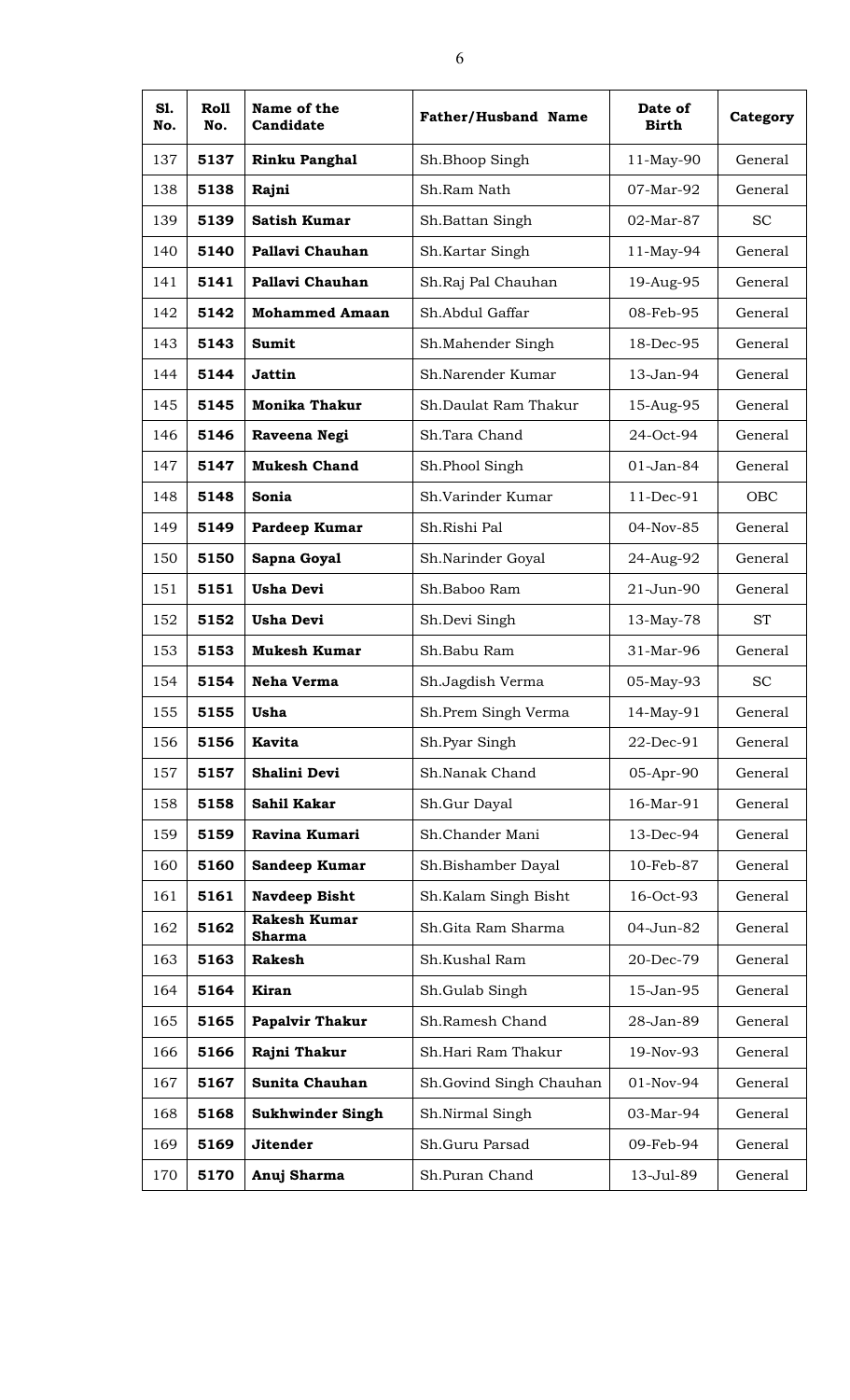| S1.<br>No. | Roll<br>No. | Name of the<br>Candidate             | <b>Father/Husband Name</b> | Date of<br><b>Birth</b> | Category  |
|------------|-------------|--------------------------------------|----------------------------|-------------------------|-----------|
| 137        | 5137        | <b>Rinku Panghal</b>                 | Sh.Bhoop Singh             | 11-May-90               | General   |
| 138        | 5138        | Rajni                                | Sh.Ram Nath                | 07-Mar-92               | General   |
| 139        | 5139        | <b>Satish Kumar</b>                  | Sh.Battan Singh            | 02-Mar-87               | <b>SC</b> |
| 140        | 5140        | Pallavi Chauhan                      | Sh.Kartar Singh            | 11-May-94               | General   |
| 141        | 5141        | Pallavi Chauhan                      | Sh.Raj Pal Chauhan         | 19-Aug-95               | General   |
| 142        | 5142        | <b>Mohammed Amaan</b>                | Sh.Abdul Gaffar            | 08-Feb-95               | General   |
| 143        | 5143        | <b>Sumit</b>                         | Sh.Mahender Singh          | 18-Dec-95               | General   |
| 144        | 5144        | <b>Jattin</b>                        | Sh.Narender Kumar          | 13-Jan-94               | General   |
| 145        | 5145        | <b>Monika Thakur</b>                 | Sh.Daulat Ram Thakur       | 15-Aug-95               | General   |
| 146        | 5146        | Raveena Negi                         | Sh.Tara Chand              | 24-Oct-94               | General   |
| 147        | 5147        | <b>Mukesh Chand</b>                  | Sh.Phool Singh             | 01-Jan-84               | General   |
| 148        | 5148        | Sonia                                | Sh.Varinder Kumar          | 11-Dec-91               | OBC       |
| 149        | 5149        | Pardeep Kumar                        | Sh.Rishi Pal               | 04-Nov-85               | General   |
| 150        | 5150        | Sapna Goyal                          | Sh.Narinder Goyal          | 24-Aug-92               | General   |
| 151        | 5151        | <b>Usha Devi</b>                     | Sh.Baboo Ram               | 21-Jun-90               | General   |
| 152        | 5152        | <b>Usha Devi</b>                     | Sh.Devi Singh              | 13-May-78               | <b>ST</b> |
| 153        | 5153        | <b>Mukesh Kumar</b>                  | Sh.Babu Ram                | 31-Mar-96               | General   |
| 154        | 5154        | <b>Neha Verma</b>                    | Sh.Jagdish Verma           | 05-May-93               | <b>SC</b> |
| 155        | 5155        | Usha                                 | Sh.Prem Singh Verma        | 14-May-91               | General   |
| 156        | 5156        | <b>Kavita</b>                        | Sh.Pyar Singh              | 22-Dec-91               | General   |
| 157        | 5157        | Shalini Devi                         | Sh.Nanak Chand             | 05-Apr-90               | General   |
| 158        | 5158        | Sahil Kakar                          | Sh.Gur Dayal               | 16-Mar-91               | General   |
| 159        | 5159        | Ravina Kumari                        | Sh.Chander Mani            | 13-Dec-94               | General   |
| 160        | 5160        | Sandeep Kumar                        | Sh.Bishamber Dayal         | 10-Feb-87               | General   |
| 161        | 5161        | <b>Navdeep Bisht</b>                 | Sh.Kalam Singh Bisht       | 16-Oct-93               | General   |
| 162        | 5162        | <b>Rakesh Kumar</b><br><b>Sharma</b> | Sh.Gita Ram Sharma         | 04-Jun-82               | General   |
| 163        | 5163        | <b>Rakesh</b>                        | Sh.Kushal Ram              | 20-Dec-79               | General   |
| 164        | 5164        | Kiran                                | Sh.Gulab Singh             | 15-Jan-95               | General   |
| 165        | 5165        | <b>Papalvir Thakur</b>               | Sh.Ramesh Chand            | 28-Jan-89               | General   |
| 166        | 5166        | Rajni Thakur                         | Sh.Hari Ram Thakur         | 19-Nov-93               | General   |
| 167        | 5167        | Sunita Chauhan                       | Sh.Govind Singh Chauhan    | 01-Nov-94               | General   |
| 168        | 5168        | <b>Sukhwinder Singh</b>              | Sh.Nirmal Singh            | 03-Mar-94               | General   |
| 169        | 5169        | <b>Jitender</b>                      | Sh.Guru Parsad             | 09-Feb-94               | General   |
| 170        | 5170        | Anuj Sharma                          | Sh.Puran Chand             | 13-Jul-89               | General   |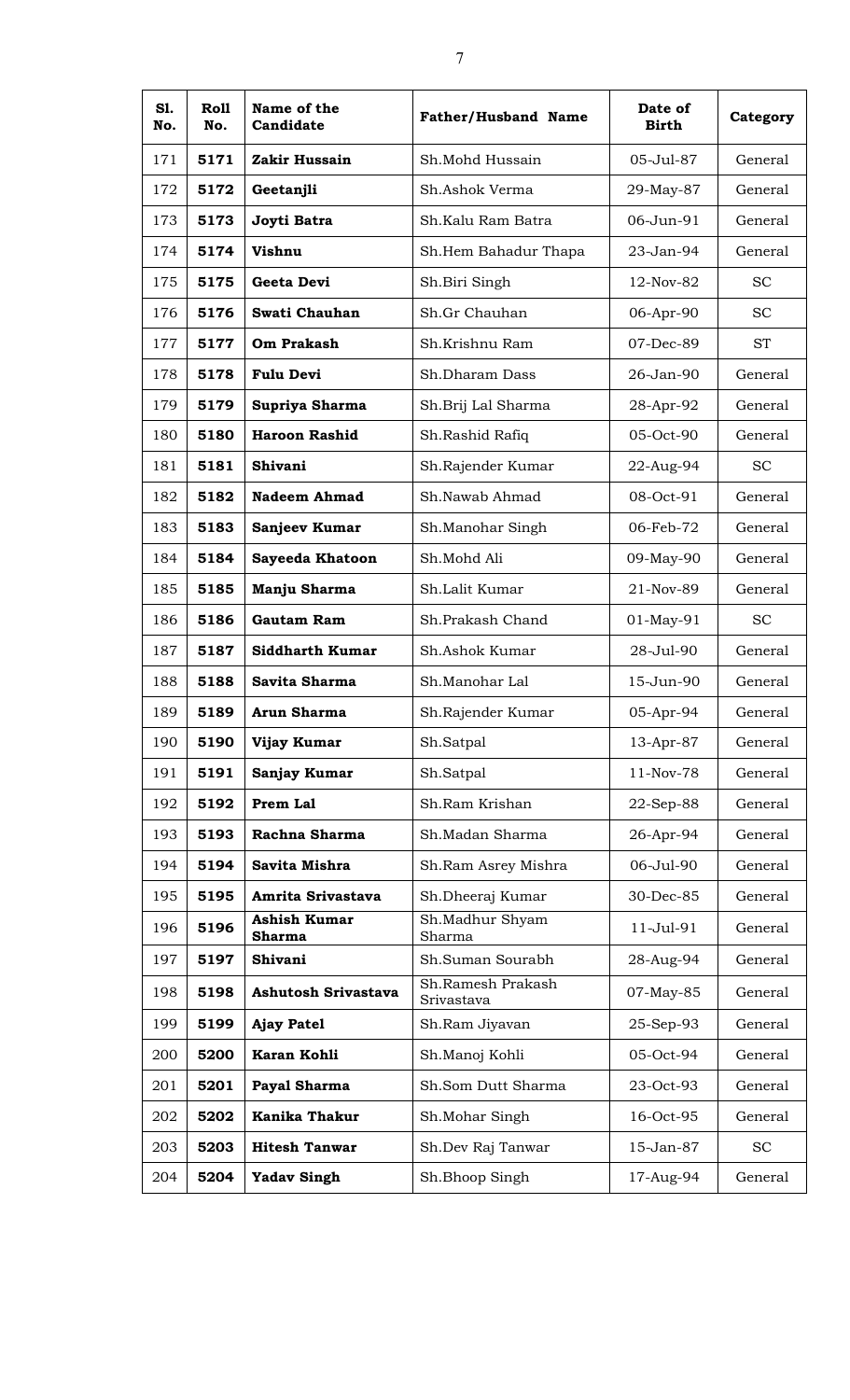| S1.<br>No. | Roll<br>No. | Name of the<br>Candidate      | <b>Father/Husband Name</b>      | Date of<br>Birth | Category  |
|------------|-------------|-------------------------------|---------------------------------|------------------|-----------|
| 171        | 5171        | Zakir Hussain                 | Sh.Mohd Hussain                 | 05-Jul-87        | General   |
| 172        | 5172        | Geetanjli                     | Sh.Ashok Verma                  | 29-May-87        | General   |
| 173        | 5173        | Joyti Batra                   | Sh.Kalu Ram Batra               | 06-Jun-91        | General   |
| 174        | 5174        | Vishnu                        | Sh.Hem Bahadur Thapa            | 23-Jan-94        | General   |
| 175        | 5175        | Geeta Devi                    | Sh.Biri Singh                   | 12-Nov-82        | <b>SC</b> |
| 176        | 5176        | Swati Chauhan                 | Sh.Gr Chauhan                   | 06-Apr-90        | <b>SC</b> |
| 177        | 5177        | Om Prakash                    | Sh.Krishnu Ram                  | 07-Dec-89        | <b>ST</b> |
| 178        | 5178        | <b>Fulu Devi</b>              | Sh.Dharam Dass                  | 26-Jan-90        | General   |
| 179        | 5179        | Supriya Sharma                | Sh.Brij Lal Sharma              | 28-Apr-92        | General   |
| 180        | 5180        | <b>Haroon Rashid</b>          | Sh.Rashid Rafiq                 | 05-Oct-90        | General   |
| 181        | 5181        | Shivani                       | Sh.Rajender Kumar               | 22-Aug-94        | <b>SC</b> |
| 182        | 5182        | <b>Nadeem Ahmad</b>           | Sh.Nawab Ahmad                  | 08-Oct-91        | General   |
| 183        | 5183        | Sanjeev Kumar                 | Sh.Manohar Singh                | 06-Feb-72        | General   |
| 184        | 5184        | <b>Sayeeda Khatoon</b>        | Sh.Mohd Ali                     | 09-May-90        | General   |
| 185        | 5185        | Manju Sharma                  | Sh.Lalit Kumar                  | 21-Nov-89        | General   |
| 186        | 5186        | Gautam Ram                    | Sh.Prakash Chand                | $01-May-91$      | <b>SC</b> |
| 187        | 5187        | <b>Siddharth Kumar</b>        | Sh.Ashok Kumar                  | 28-Jul-90        | General   |
| 188        | 5188        | Savita Sharma                 | Sh.Manohar Lal                  | 15-Jun-90        | General   |
| 189        | 5189        | Arun Sharma                   | Sh.Rajender Kumar               | 05-Apr-94        | General   |
| 190        | 5190        | Vijay Kumar                   | Sh.Satpal                       | 13-Apr-87        | General   |
| 191        | 5191        | Sanjay Kumar                  | Sh.Satpal                       | 11-Nov-78        | General   |
| 192        | 5192        | Prem Lal                      | Sh.Ram Krishan                  | 22-Sep-88        | General   |
| 193        | 5193        | Rachna Sharma                 | Sh.Madan Sharma                 | 26-Apr-94        | General   |
| 194        | 5194        | Savita Mishra                 | Sh.Ram Asrey Mishra             | 06-Jul-90        | General   |
| 195        | 5195        | Amrita Srivastava             | Sh.Dheeraj Kumar                | 30-Dec-85        | General   |
| 196        | 5196        | <b>Ashish Kumar</b><br>Sharma | Sh.Madhur Shyam<br>Sharma       | 11-Jul-91        | General   |
| 197        | 5197        | Shivani                       | Sh.Suman Sourabh                | 28-Aug-94        | General   |
| 198        | 5198        | <b>Ashutosh Srivastava</b>    | Sh.Ramesh Prakash<br>Srivastava | 07-May-85        | General   |
| 199        | 5199        | <b>Ajay Patel</b>             | Sh.Ram Jiyavan                  | 25-Sep-93        | General   |
| 200        | 5200        | Karan Kohli                   | Sh.Manoj Kohli                  | 05-Oct-94        | General   |
| 201        | 5201        | Payal Sharma                  | Sh.Som Dutt Sharma              | 23-Oct-93        | General   |
| 202        | 5202        | <b>Kanika Thakur</b>          | Sh.Mohar Singh                  | 16-Oct-95        | General   |
| 203        | 5203        | <b>Hitesh Tanwar</b>          | Sh.Dev Raj Tanwar               | 15-Jan-87        | <b>SC</b> |
| 204        | 5204        | <b>Yadav Singh</b>            | Sh.Bhoop Singh                  | 17-Aug-94        | General   |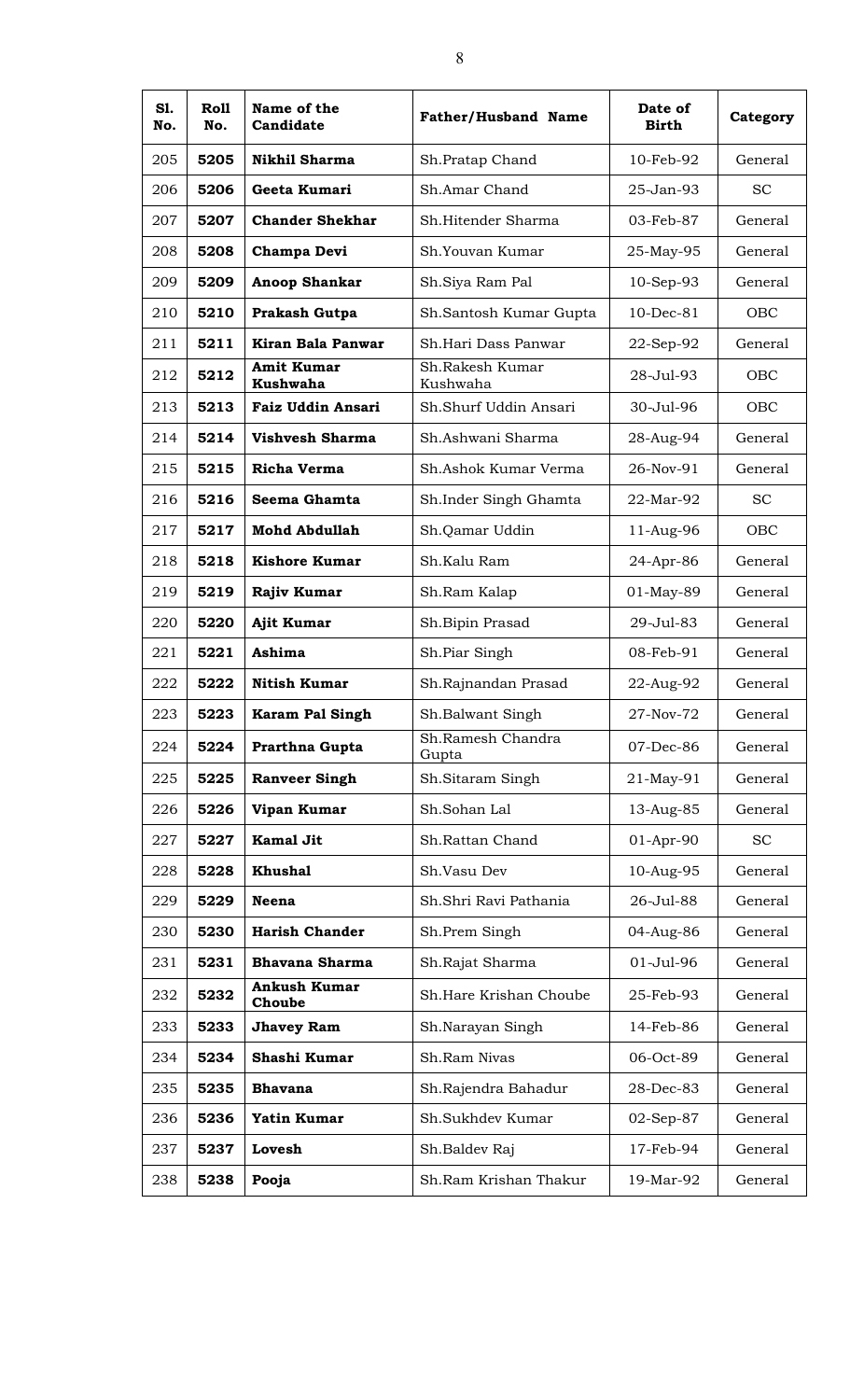| S1.<br>No. | Roll<br>No. | Name of the<br>Candidate             | <b>Father/Husband Name</b>  | Date of<br><b>Birth</b> | Category   |
|------------|-------------|--------------------------------------|-----------------------------|-------------------------|------------|
| 205        | 5205        | <b>Nikhil Sharma</b>                 | Sh.Pratap Chand             | 10-Feb-92               | General    |
| 206        | 5206        | Geeta Kumari                         | Sh.Amar Chand               | 25-Jan-93               | <b>SC</b>  |
| 207        | 5207        | <b>Chander Shekhar</b>               | Sh.Hitender Sharma          | 03-Feb-87               | General    |
| 208        | 5208        | Champa Devi                          | Sh.Youvan Kumar             | 25-May-95               | General    |
| 209        | 5209        | <b>Anoop Shankar</b>                 | Sh.Siya Ram Pal             | $10-Sep-93$             | General    |
| 210        | 5210        | Prakash Gutpa                        | Sh.Santosh Kumar Gupta      | $10$ -Dec- $81$         | <b>OBC</b> |
| 211        | 5211        | Kiran Bala Panwar                    | Sh.Hari Dass Panwar         | 22-Sep-92               | General    |
| 212        | 5212        | <b>Amit Kumar</b><br><b>Kushwaha</b> | Sh.Rakesh Kumar<br>Kushwaha | 28-Jul-93               | <b>OBC</b> |
| 213        | 5213        | <b>Faiz Uddin Ansari</b>             | Sh.Shurf Uddin Ansari       | 30-Jul-96               | OBC        |
| 214        | 5214        | <b>Vishvesh Sharma</b>               | Sh.Ashwani Sharma           | 28-Aug-94               | General    |
| 215        | 5215        | Richa Verma                          | Sh.Ashok Kumar Verma        | 26-Nov-91               | General    |
| 216        | 5216        | Seema Ghamta                         | Sh.Inder Singh Ghamta       | 22-Mar-92               | <b>SC</b>  |
| 217        | 5217        | <b>Mohd Abdullah</b>                 | Sh.Qamar Uddin              | 11-Aug-96               | OBC        |
| 218        | 5218        | <b>Kishore Kumar</b>                 | Sh.Kalu Ram                 | 24-Apr-86               | General    |
| 219        | 5219        | Rajiv Kumar                          | Sh.Ram Kalap                | 01-May-89               | General    |
| 220        | 5220        | <b>Ajit Kumar</b>                    | Sh. Bipin Prasad            | 29-Jul-83               | General    |
| 221        | 5221        | Ashima                               | Sh.Piar Singh               | 08-Feb-91               | General    |
| 222        | 5222        | <b>Nitish Kumar</b>                  | Sh.Rajnandan Prasad         | 22-Aug-92               | General    |
| 223        | 5223        | Karam Pal Singh                      | Sh. Balwant Singh           | 27-Nov-72               | General    |
| 224        | 5224        | Prarthna Gupta                       | Sh.Ramesh Chandra<br>Gupta  | 07-Dec-86               | General    |
| 225        | 5225        | <b>Ranveer Singh</b>                 | Sh.Sitaram Singh            | 21-May-91               | General    |
| 226        | 5226        | Vipan Kumar                          | Sh.Sohan Lal                | 13-Aug-85               | General    |
| 227        | 5227        | <b>Kamal Jit</b>                     | Sh.Rattan Chand             | 01-Apr-90               | <b>SC</b>  |
| 228        | 5228        | <b>Khushal</b>                       | Sh.Vasu Dev                 | 10-Aug-95               | General    |
| 229        | 5229        | <b>Neena</b>                         | Sh.Shri Ravi Pathania       | 26-Jul-88               | General    |
| 230        | 5230        | <b>Harish Chander</b>                | Sh.Prem Singh               | 04-Aug-86               | General    |
| 231        | 5231        | <b>Bhavana Sharma</b>                | Sh.Rajat Sharma             | 01-Jul-96               | General    |
| 232        | 5232        | <b>Ankush Kumar</b><br>Choube        | Sh.Hare Krishan Choube      | 25-Feb-93               | General    |
| 233        | 5233        | <b>Jhavey Ram</b>                    | Sh.Narayan Singh            | 14-Feb-86               | General    |
| 234        | 5234        | Shashi Kumar                         | Sh.Ram Nivas                | 06-Oct-89               | General    |
| 235        | 5235        | <b>Bhavana</b>                       | Sh.Rajendra Bahadur         | 28-Dec-83               | General    |
| 236        | 5236        | <b>Yatin Kumar</b>                   | Sh.Sukhdev Kumar            | 02-Sep-87               | General    |
| 237        | 5237        | Lovesh                               | Sh.Baldev Raj               | 17-Feb-94               | General    |
| 238        | 5238        | Pooja                                | Sh.Ram Krishan Thakur       | 19-Mar-92               | General    |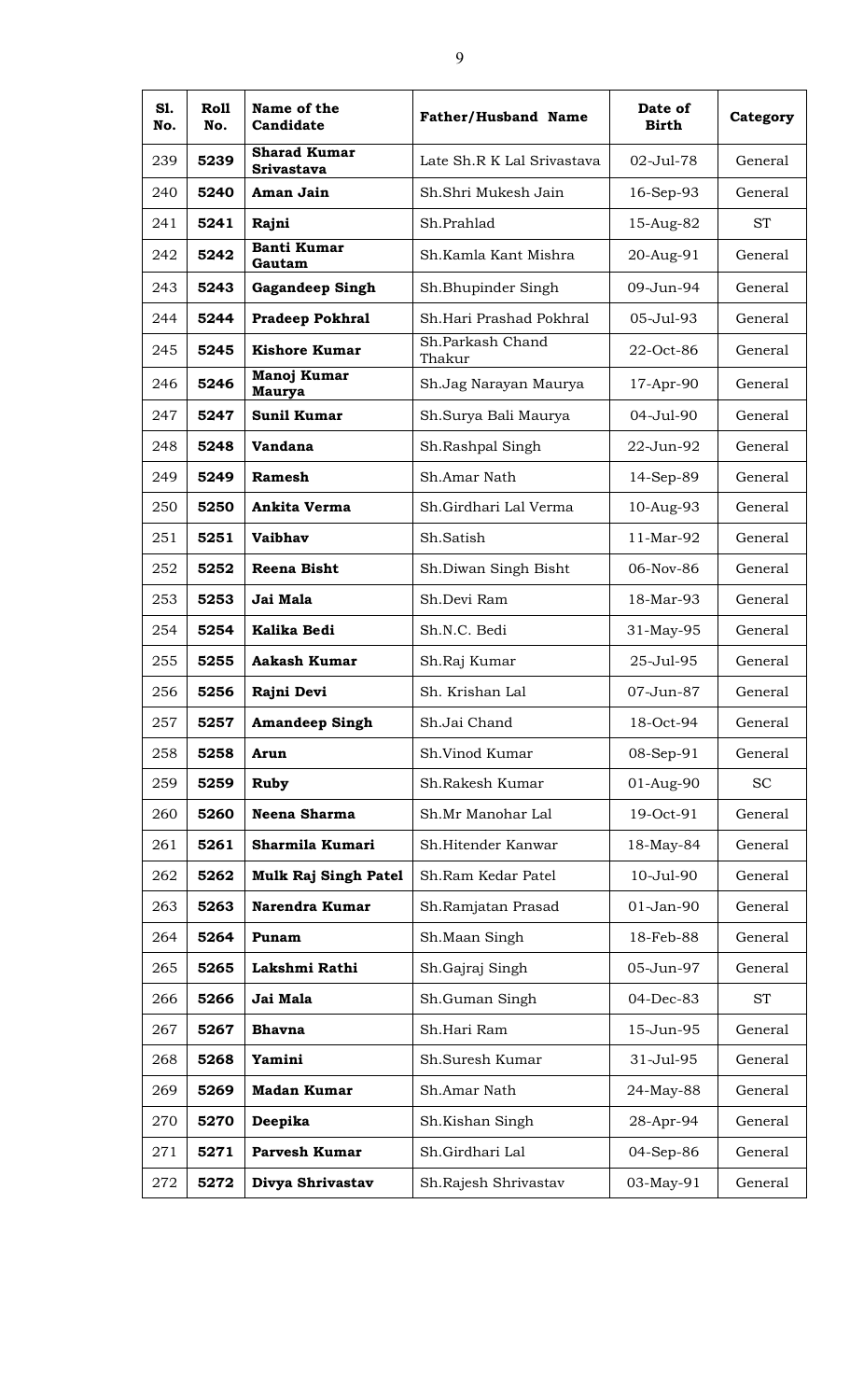| S1.<br>No. | Roll<br>No. | Name of the<br>Candidate                 | <b>Father/Husband Name</b> | Date of<br><b>Birth</b> | Category  |
|------------|-------------|------------------------------------------|----------------------------|-------------------------|-----------|
| 239        | 5239        | <b>Sharad Kumar</b><br><b>Srivastava</b> | Late Sh.R K Lal Srivastava | 02-Jul-78               | General   |
| 240        | 5240        | Aman Jain                                | Sh.Shri Mukesh Jain        | 16-Sep-93               | General   |
| 241        | 5241        | Rajni                                    | Sh.Prahlad                 | 15-Aug-82               | <b>ST</b> |
| 242        | 5242        | <b>Banti Kumar</b><br>Gautam             | Sh.Kamla Kant Mishra       | 20-Aug-91               | General   |
| 243        | 5243        | <b>Gagandeep Singh</b>                   | Sh.Bhupinder Singh         | 09-Jun-94               | General   |
| 244        | 5244        | <b>Pradeep Pokhral</b>                   | Sh.Hari Prashad Pokhral    | 05-Jul-93               | General   |
| 245        | 5245        | <b>Kishore Kumar</b>                     | Sh.Parkash Chand<br>Thakur | 22-Oct-86               | General   |
| 246        | 5246        | Manoj Kumar<br><b>Maurya</b>             | Sh.Jag Narayan Maurya      | 17-Apr-90               | General   |
| 247        | 5247        | <b>Sunil Kumar</b>                       | Sh.Surya Bali Maurya       | 04-Jul-90               | General   |
| 248        | 5248        | Vandana                                  | Sh.Rashpal Singh           | 22-Jun-92               | General   |
| 249        | 5249        | Ramesh                                   | Sh.Amar Nath               | 14-Sep-89               | General   |
| 250        | 5250        | Ankita Verma                             | Sh.Girdhari Lal Verma      | 10-Aug-93               | General   |
| 251        | 5251        | Vaibhav                                  | Sh.Satish                  | 11-Mar-92               | General   |
| 252        | 5252        | <b>Reena Bisht</b>                       | Sh.Diwan Singh Bisht       | 06-Nov-86               | General   |
| 253        | 5253        | Jai Mala                                 | Sh.Devi Ram                | 18-Mar-93               | General   |
| 254        | 5254        | Kalika Bedi                              | Sh.N.C. Bedi               | 31-May-95               | General   |
| 255        | 5255        | <b>Aakash Kumar</b>                      | Sh.Raj Kumar               | 25-Jul-95               | General   |
| 256        | 5256        | Rajni Devi                               | Sh. Krishan Lal            | 07-Jun-87               | General   |
| 257        | 5257        | <b>Amandeep Singh</b>                    | Sh.Jai Chand               | 18-Oct-94               | General   |
| 258        | 5258        | Arun                                     | Sh.Vinod Kumar             | 08-Sep-91               | General   |
| 259        | 5259        | <b>Ruby</b>                              | Sh.Rakesh Kumar            | 01-Aug-90               | <b>SC</b> |
| 260        | 5260        | Neena Sharma                             | Sh.Mr Manohar Lal          | 19-Oct-91               | General   |
| 261        | 5261        | Sharmila Kumari                          | Sh.Hitender Kanwar         | 18-May-84               | General   |
| 262        | 5262        | <b>Mulk Raj Singh Patel</b>              | Sh.Ram Kedar Patel         | 10-Jul-90               | General   |
| 263        | 5263        | Narendra Kumar                           | Sh.Ramjatan Prasad         | 01-Jan-90               | General   |
| 264        | 5264        | Punam                                    | Sh.Maan Singh              | 18-Feb-88               | General   |
| 265        | 5265        | Lakshmi Rathi                            | Sh.Gajraj Singh            | 05-Jun-97               | General   |
| 266        | 5266        | Jai Mala                                 | Sh.Guman Singh             | 04-Dec-83               | <b>ST</b> |
| 267        | 5267        | <b>Bhavna</b>                            | Sh.Hari Ram                | 15-Jun-95               | General   |
| 268        | 5268        | Yamini                                   | Sh.Suresh Kumar            | 31-Jul-95               | General   |
| 269        | 5269        | <b>Madan Kumar</b>                       | Sh.Amar Nath               | 24-May-88               | General   |
| 270        | 5270        | Deepika                                  | Sh.Kishan Singh            | 28-Apr-94               | General   |
| 271        | 5271        | <b>Parvesh Kumar</b>                     | Sh.Girdhari Lal            | 04-Sep-86               | General   |
| 272        | 5272        | Divya Shrivastav                         | Sh.Rajesh Shrivastav       | 03-May-91               | General   |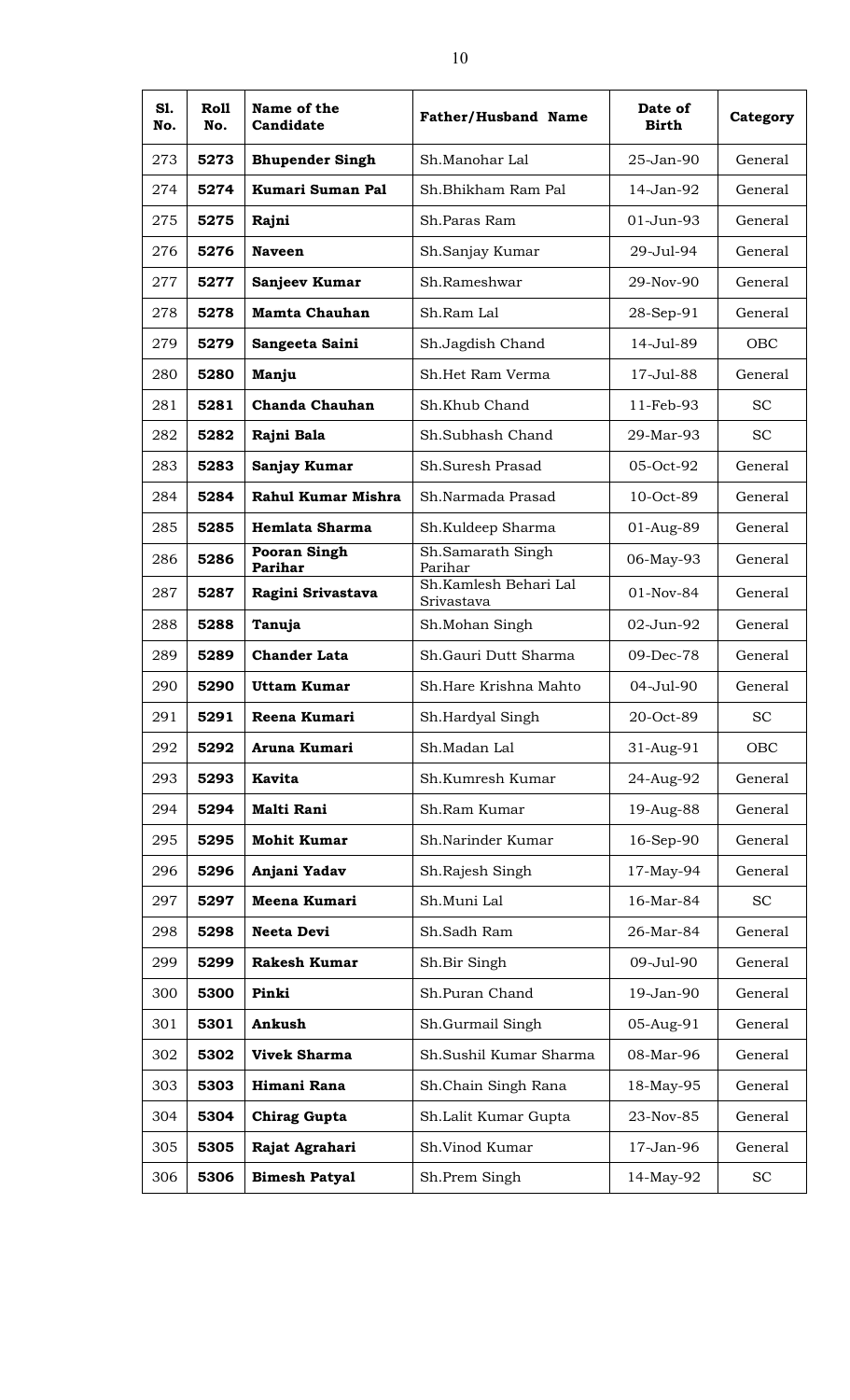| S1.<br>No. | Roll<br>No. | Name of the<br>Candidate       | <b>Father/Husband Name</b>          | Date of<br><b>Birth</b> | Category   |
|------------|-------------|--------------------------------|-------------------------------------|-------------------------|------------|
| 273        | 5273        | <b>Bhupender Singh</b>         | Sh.Manohar Lal                      | 25-Jan-90               | General    |
| 274        | 5274        | <b>Kumari Suman Pal</b>        | Sh.Bhikham Ram Pal                  | $14-Jan-92$             | General    |
| 275        | 5275        | Rajni                          | Sh.Paras Ram                        | 01-Jun-93               | General    |
| 276        | 5276        | <b>Naveen</b>                  | Sh.Sanjay Kumar                     | 29-Jul-94               | General    |
| 277        | 5277        | Sanjeev Kumar                  | Sh.Rameshwar                        | 29-Nov-90               | General    |
| 278        | 5278        | <b>Mamta Chauhan</b>           | Sh.Ram Lal                          | 28-Sep-91               | General    |
| 279        | 5279        | Sangeeta Saini                 | Sh.Jagdish Chand                    | 14-Jul-89               | <b>OBC</b> |
| 280        | 5280        | Manju                          | Sh.Het Ram Verma                    | 17-Jul-88               | General    |
| 281        | 5281        | Chanda Chauhan                 | Sh.Khub Chand                       | 11-Feb-93               | <b>SC</b>  |
| 282        | 5282        | Rajni Bala                     | Sh.Subhash Chand                    | 29-Mar-93               | <b>SC</b>  |
| 283        | 5283        | Sanjay Kumar                   | Sh.Suresh Prasad                    | 05-Oct-92               | General    |
| 284        | 5284        | Rahul Kumar Mishra             | Sh.Narmada Prasad                   | 10-Oct-89               | General    |
| 285        | 5285        | Hemlata Sharma                 | Sh.Kuldeep Sharma                   | 01-Aug-89               | General    |
| 286        | 5286        | <b>Pooran Singh</b><br>Parihar | Sh.Samarath Singh<br>Parihar        | 06-May-93               | General    |
| 287        | 5287        | Ragini Srivastava              | Sh.Kamlesh Behari Lal<br>Srivastava | 01-Nov-84               | General    |
| 288        | 5288        | Tanuja                         | Sh.Mohan Singh                      | 02-Jun-92               | General    |
| 289        | 5289        | <b>Chander Lata</b>            | Sh.Gauri Dutt Sharma                | 09-Dec-78               | General    |
| 290        | 5290        | <b>Uttam Kumar</b>             | Sh.Hare Krishna Mahto               | 04-Jul-90               | General    |
| 291        | 5291        | Reena Kumari                   | Sh.Hardyal Singh                    | 20-Oct-89               | <b>SC</b>  |
| 292        | 5292        | Aruna Kumari                   | Sh.Madan Lal                        | 31-Aug-91               | OBC        |
| 293        | 5293        | <b>Kavita</b>                  | Sh.Kumresh Kumar                    | 24-Aug-92               | General    |
| 294        | 5294        | Malti Rani                     | Sh.Ram Kumar                        | 19-Aug-88               | General    |
| 295        | 5295        | <b>Mohit Kumar</b>             | Sh.Narinder Kumar                   | 16-Sep-90               | General    |
| 296        | 5296        | Anjani Yadav                   | Sh.Rajesh Singh                     | 17-May-94               | General    |
| 297        | 5297        | Meena Kumari                   | Sh.Muni Lal                         | 16-Mar-84               | <b>SC</b>  |
| 298        | 5298        | <b>Neeta Devi</b>              | Sh.Sadh Ram                         | 26-Mar-84               | General    |
| 299        | 5299        | <b>Rakesh Kumar</b>            | Sh.Bir Singh                        | 09-Jul-90               | General    |
| 300        | 5300        | Pinki                          | Sh.Puran Chand                      | 19-Jan-90               | General    |
| 301        | 5301        | Ankush                         | Sh.Gurmail Singh                    | 05-Aug-91               | General    |
| 302        | 5302        | <b>Vivek Sharma</b>            | Sh.Sushil Kumar Sharma              | 08-Mar-96               | General    |
| 303        | 5303        | Himani Rana                    | Sh.Chain Singh Rana                 | 18-May-95               | General    |
| 304        | 5304        | <b>Chirag Gupta</b>            | Sh.Lalit Kumar Gupta                | 23-Nov-85               | General    |
| 305        | 5305        | Rajat Agrahari                 | Sh.Vinod Kumar                      | 17-Jan-96               | General    |
| 306        | 5306        | <b>Bimesh Patyal</b>           | Sh.Prem Singh                       | 14-May-92               | <b>SC</b>  |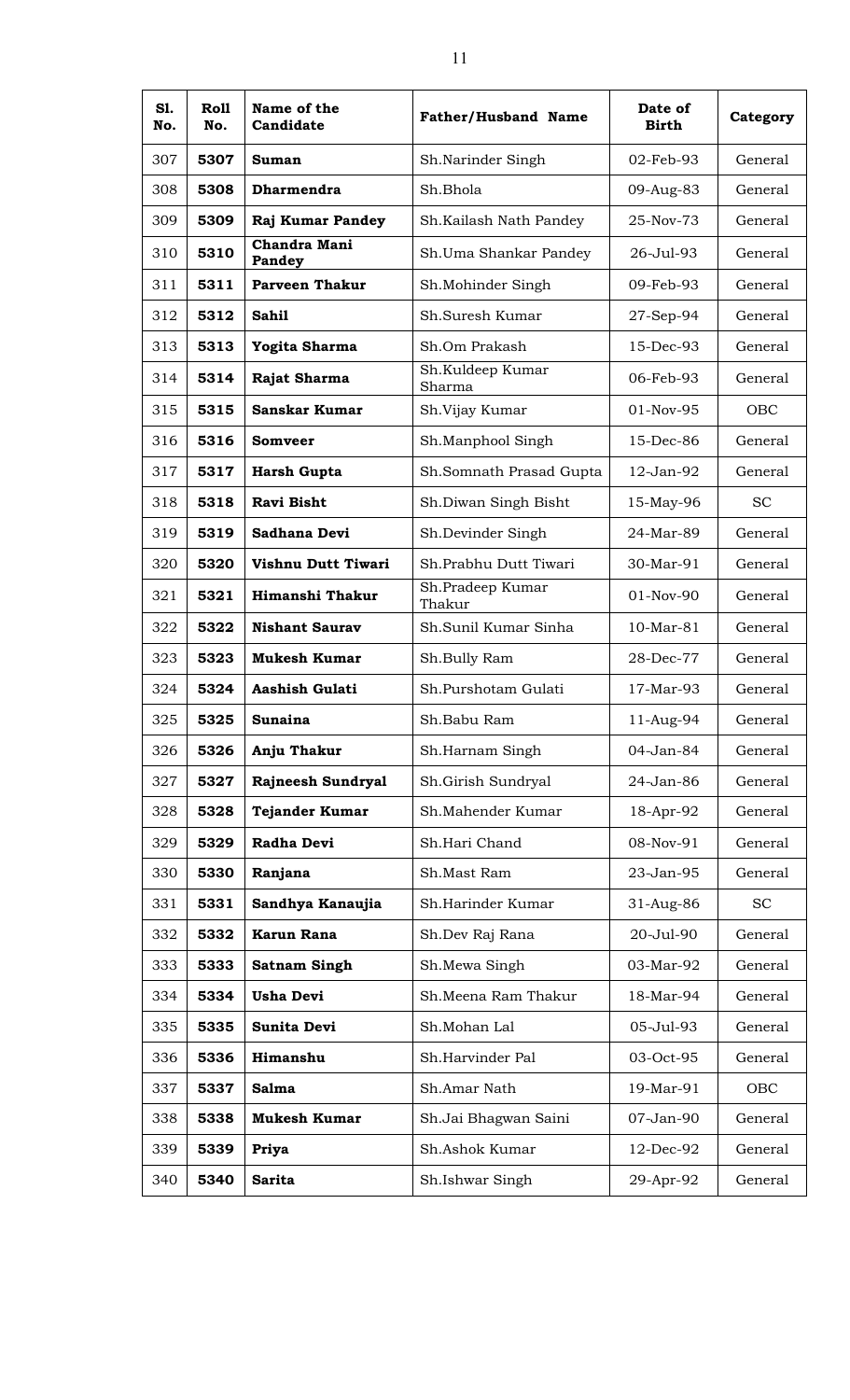| S1.<br>No. | <b>Roll</b><br>No. | Name of the<br>Candidate | <b>Father/Husband Name</b> | Date of<br><b>Birth</b> | Category  |
|------------|--------------------|--------------------------|----------------------------|-------------------------|-----------|
| 307        | 5307               | Suman                    | Sh.Narinder Singh          | 02-Feb-93               | General   |
| 308        | 5308               | Dharmendra               | Sh.Bhola                   | 09-Aug-83               | General   |
| 309        | 5309               | Raj Kumar Pandey         | Sh.Kailash Nath Pandey     | 25-Nov-73               | General   |
| 310        | 5310               | Chandra Mani<br>Pandey   | Sh.Uma Shankar Pandey      | 26-Jul-93               | General   |
| 311        | 5311               | <b>Parveen Thakur</b>    | Sh.Mohinder Singh          | 09-Feb-93               | General   |
| 312        | 5312               | <b>Sahil</b>             | Sh.Suresh Kumar            | 27-Sep-94               | General   |
| 313        | 5313               | Yogita Sharma            | Sh.Om Prakash              | 15-Dec-93               | General   |
| 314        | 5314               | Rajat Sharma             | Sh.Kuldeep Kumar<br>Sharma | 06-Feb-93               | General   |
| 315        | 5315               | Sanskar Kumar            | Sh.Vijay Kumar             | 01-Nov-95               | OBC       |
| 316        | 5316               | Somveer                  | Sh.Manphool Singh          | 15-Dec-86               | General   |
| 317        | 5317               | <b>Harsh Gupta</b>       | Sh.Somnath Prasad Gupta    | 12-Jan-92               | General   |
| 318        | 5318               | <b>Ravi Bisht</b>        | Sh.Diwan Singh Bisht       | 15-May-96               | <b>SC</b> |
| 319        | 5319               | Sadhana Devi             | Sh.Devinder Singh          | 24-Mar-89               | General   |
| 320        | 5320               | Vishnu Dutt Tiwari       | Sh.Prabhu Dutt Tiwari      | 30-Mar-91               | General   |
| 321        | 5321               | Himanshi Thakur          | Sh.Pradeep Kumar<br>Thakur | 01-Nov-90               | General   |
| 322        | 5322               | <b>Nishant Saurav</b>    | Sh.Sunil Kumar Sinha       | $10-Mar-81$             | General   |
| 323        | 5323               | <b>Mukesh Kumar</b>      | Sh.Bully Ram               | 28-Dec-77               | General   |
| 324        | 5324               | Aashish Gulati           | Sh.Purshotam Gulati        | 17-Mar-93               | General   |
| 325        | 5325               | <b>Sunaina</b>           | Sh.Babu Ram                | 11-Aug-94               | General   |
| 326        | 5326               | Anju Thakur              | Sh.Harnam Singh            | 04-Jan-84               | General   |
| 327        | 5327               | Rajneesh Sundryal        | Sh.Girish Sundryal         | 24-Jan-86               | General   |
| 328        | 5328               | <b>Tejander Kumar</b>    | Sh.Mahender Kumar          | 18-Apr-92               | General   |
| 329        | 5329               | Radha Devi               | Sh.Hari Chand              | 08-Nov-91               | General   |
| 330        | 5330               | Ranjana                  | Sh.Mast Ram                | 23-Jan-95               | General   |
| 331        | 5331               | Sandhya Kanaujia         | Sh.Harinder Kumar          | 31-Aug-86               | <b>SC</b> |
| 332        | 5332               | Karun Rana               | Sh.Dev Raj Rana            | 20-Jul-90               | General   |
| 333        | 5333               | <b>Satnam Singh</b>      | Sh.Mewa Singh              | 03-Mar-92               | General   |
| 334        | 5334               | <b>Usha Devi</b>         | Sh. Meena Ram Thakur       | 18-Mar-94               | General   |
| 335        | 5335               | Sunita Devi              | Sh.Mohan Lal               | 05-Jul-93               | General   |
| 336        | 5336               | Himanshu                 | Sh.Harvinder Pal           | 03-Oct-95               | General   |
| 337        | 5337               | <b>Salma</b>             | Sh.Amar Nath               | 19-Mar-91               | OBC       |
| 338        | 5338               | <b>Mukesh Kumar</b>      | Sh.Jai Bhagwan Saini       | 07-Jan-90               | General   |
| 339        | 5339               | Priya                    | Sh.Ashok Kumar             | 12-Dec-92               | General   |
| 340        | 5340               | <b>Sarita</b>            | Sh.Ishwar Singh            | 29-Apr-92               | General   |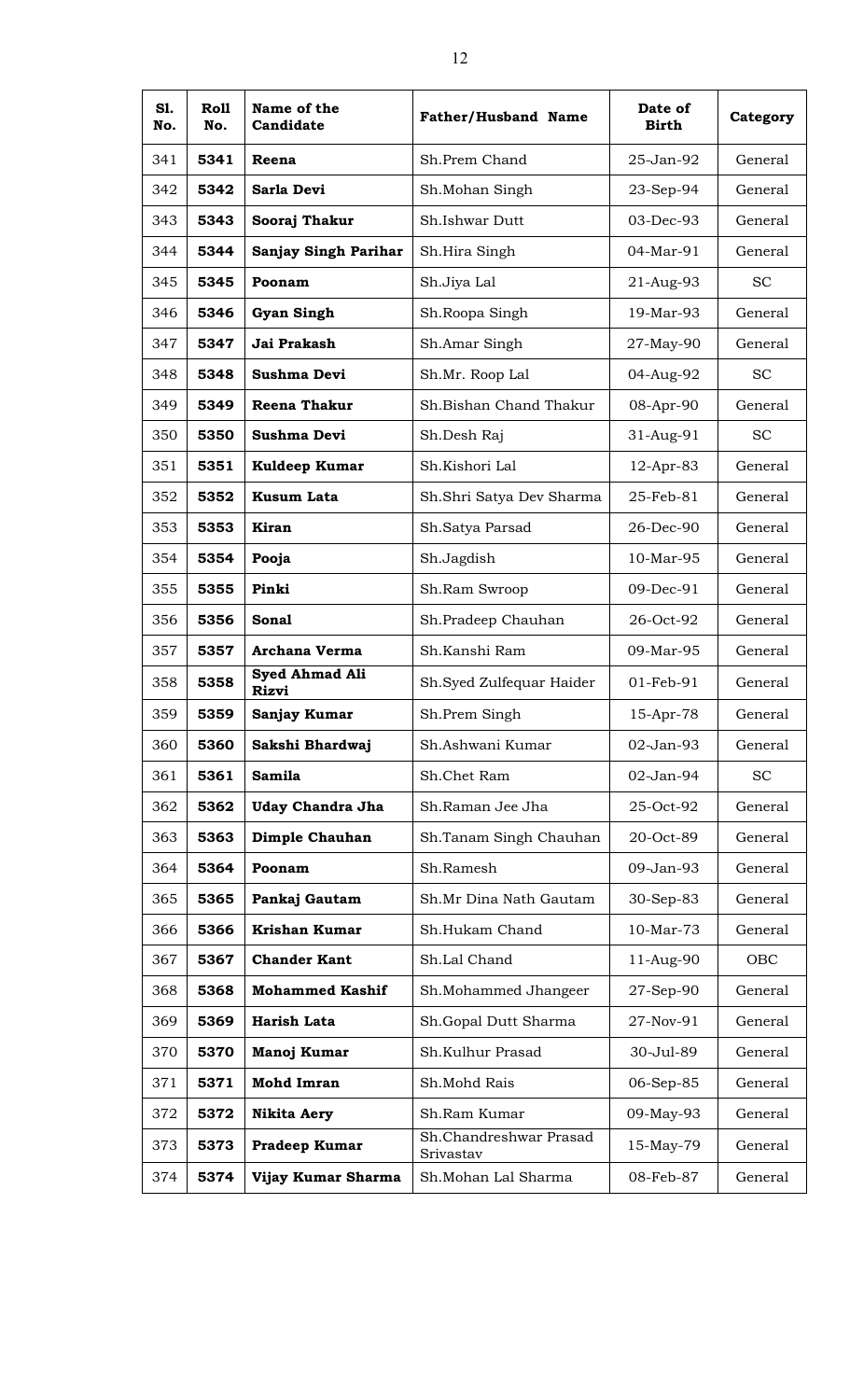| S1.<br>No. | Roll<br>No. | Name of the<br>Candidate              | <b>Father/Husband Name</b>          | Date of<br><b>Birth</b> | Category  |
|------------|-------------|---------------------------------------|-------------------------------------|-------------------------|-----------|
| 341        | 5341        | Reena                                 | Sh.Prem Chand                       | 25-Jan-92               | General   |
| 342        | 5342        | Sarla Devi                            | Sh.Mohan Singh                      | 23-Sep-94               | General   |
| 343        | 5343        | Sooraj Thakur                         | Sh.Ishwar Dutt                      | 03-Dec-93               | General   |
| 344        | 5344        | <b>Sanjay Singh Parihar</b>           | Sh.Hira Singh                       | 04-Mar-91               | General   |
| 345        | 5345        | Poonam                                | Sh.Jiya Lal                         | 21-Aug-93               | <b>SC</b> |
| 346        | 5346        | <b>Gyan Singh</b>                     | Sh.Roopa Singh                      | 19-Mar-93               | General   |
| 347        | 5347        | Jai Prakash                           | Sh.Amar Singh                       | 27-May-90               | General   |
| 348        | 5348        | Sushma Devi                           | Sh.Mr. Roop Lal                     | 04-Aug-92               | <b>SC</b> |
| 349        | 5349        | <b>Reena Thakur</b>                   | Sh.Bishan Chand Thakur              | 08-Apr-90               | General   |
| 350        | 5350        | Sushma Devi                           | Sh.Desh Raj                         | 31-Aug-91               | <b>SC</b> |
| 351        | 5351        | Kuldeep Kumar                         | Sh.Kishori Lal                      | 12-Apr-83               | General   |
| 352        | 5352        | <b>Kusum Lata</b>                     | Sh.Shri Satya Dev Sharma            | 25-Feb-81               | General   |
| 353        | 5353        | <b>Kiran</b>                          | Sh.Satya Parsad                     | 26-Dec-90               | General   |
| 354        | 5354        | Pooja                                 | Sh.Jagdish                          | 10-Mar-95               | General   |
| 355        | 5355        | Pinki                                 | Sh.Ram Swroop                       | 09-Dec-91               | General   |
| 356        | 5356        | Sonal                                 | Sh.Pradeep Chauhan                  | 26-Oct-92               | General   |
| 357        | 5357        | <b>Archana Verma</b>                  | Sh.Kanshi Ram                       | 09-Mar-95               | General   |
| 358        | 5358        | <b>Syed Ahmad Ali</b><br><b>Rizvi</b> | Sh.Syed Zulfequar Haider            | 01-Feb-91               | General   |
| 359        | 5359        | Sanjay Kumar                          | Sh.Prem Singh                       | 15-Apr-78               | General   |
| 360        | 5360        | Sakshi Bhardwaj                       | Sh.Ashwani Kumar                    | 02-Jan-93               | General   |
| 361        | 5361        | Samila                                | Sh.Chet Ram                         | 02-Jan-94               | <b>SC</b> |
| 362        | 5362        | <b>Uday Chandra Jha</b>               | Sh.Raman Jee Jha                    | 25-Oct-92               | General   |
| 363        | 5363        | Dimple Chauhan                        | Sh.Tanam Singh Chauhan              | 20-Oct-89               | General   |
| 364        | 5364        | Poonam                                | Sh.Ramesh                           | 09-Jan-93               | General   |
| 365        | 5365        | Pankaj Gautam                         | Sh.Mr Dina Nath Gautam              | 30-Sep-83               | General   |
| 366        | 5366        | <b>Krishan Kumar</b>                  | Sh.Hukam Chand                      | 10-Mar-73               | General   |
| 367        | 5367        | <b>Chander Kant</b>                   | Sh.Lal Chand                        | 11-Aug-90               | OBC       |
| 368        | 5368        | <b>Mohammed Kashif</b>                | Sh.Mohammed Jhangeer                | 27-Sep-90               | General   |
| 369        | 5369        | Harish Lata                           | Sh.Gopal Dutt Sharma                | 27-Nov-91               | General   |
| 370        | 5370        | Manoj Kumar                           | Sh.Kulhur Prasad                    | 30-Jul-89               | General   |
| 371        | 5371        | <b>Mohd Imran</b>                     | Sh.Mohd Rais                        | 06-Sep-85               | General   |
| 372        | 5372        | <b>Nikita Aery</b>                    | Sh.Ram Kumar                        | 09-May-93               | General   |
| 373        | 5373        | Pradeep Kumar                         | Sh.Chandreshwar Prasad<br>Srivastav | 15-May-79               | General   |
| 374        | 5374        | Vijay Kumar Sharma                    | Sh.Mohan Lal Sharma                 | 08-Feb-87               | General   |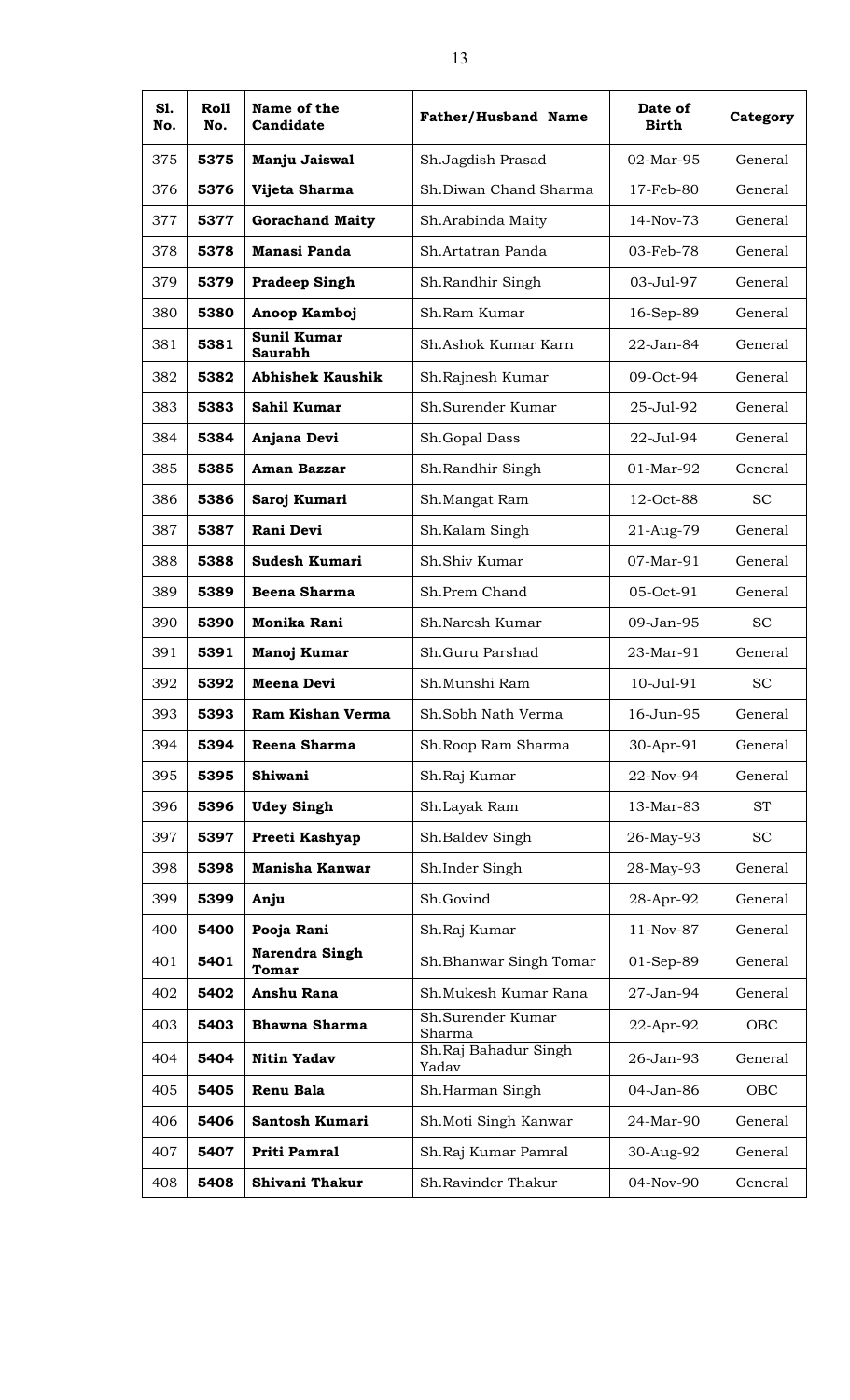| S1.<br>No. | Roll<br>No. | Name of the<br>Candidate             | <b>Father/Husband Name</b>    | Date of<br><b>Birth</b> | Category  |
|------------|-------------|--------------------------------------|-------------------------------|-------------------------|-----------|
| 375        | 5375        | Manju Jaiswal                        | Sh.Jagdish Prasad             | 02-Mar-95               | General   |
| 376        | 5376        | Vijeta Sharma                        | Sh.Diwan Chand Sharma         | 17-Feb-80               | General   |
| 377        | 5377        | <b>Gorachand Maity</b>               | Sh.Arabinda Maity             | 14-Nov-73               | General   |
| 378        | 5378        | <b>Manasi Panda</b>                  | Sh.Artatran Panda             | 03-Feb-78               | General   |
| 379        | 5379        | <b>Pradeep Singh</b>                 | Sh.Randhir Singh              | 03-Jul-97               | General   |
| 380        | 5380        | Anoop Kamboj                         | Sh.Ram Kumar                  | 16-Sep-89               | General   |
| 381        | 5381        | <b>Sunil Kumar</b><br><b>Saurabh</b> | Sh.Ashok Kumar Karn           | 22-Jan-84               | General   |
| 382        | 5382        | <b>Abhishek Kaushik</b>              | Sh.Rajnesh Kumar              | 09-Oct-94               | General   |
| 383        | 5383        | Sahil Kumar                          | Sh.Surender Kumar             | 25-Jul-92               | General   |
| 384        | 5384        | Anjana Devi                          | Sh.Gopal Dass                 | 22-Jul-94               | General   |
| 385        | 5385        | Aman Bazzar                          | Sh.Randhir Singh              | $01-Mar-92$             | General   |
| 386        | 5386        | Saroj Kumari                         | Sh.Mangat Ram                 | 12-Oct-88               | <b>SC</b> |
| 387        | 5387        | Rani Devi                            | Sh.Kalam Singh                | 21-Aug-79               | General   |
| 388        | 5388        | <b>Sudesh Kumari</b>                 | Sh.Shiv Kumar                 | 07-Mar-91               | General   |
| 389        | 5389        | <b>Beena Sharma</b>                  | Sh.Prem Chand                 | 05-Oct-91               | General   |
| 390        | 5390        | Monika Rani                          | Sh.Naresh Kumar               | 09-Jan-95               | <b>SC</b> |
| 391        | 5391        | Manoj Kumar                          | Sh.Guru Parshad               | 23-Mar-91               | General   |
| 392        | 5392        | Meena Devi                           | Sh.Munshi Ram                 | 10-Jul-91               | <b>SC</b> |
| 393        | 5393        | Ram Kishan Verma                     | Sh.Sobh Nath Verma            | 16-Jun-95               | General   |
| 394        | 5394        | Reena Sharma                         | Sh.Roop Ram Sharma            | 30-Apr-91               | General   |
| 395        | 5395        | Shiwani                              | Sh.Raj Kumar                  | 22-Nov-94               | General   |
| 396        | 5396        | <b>Udey Singh</b>                    | Sh.Layak Ram                  | 13-Mar-83               | <b>ST</b> |
| 397        | 5397        | Preeti Kashyap                       | Sh.Baldev Singh               | 26-May-93               | <b>SC</b> |
| 398        | 5398        | <b>Manisha Kanwar</b>                | Sh.Inder Singh                | 28-May-93               | General   |
| 399        | 5399        | Anju                                 | Sh.Govind                     | 28-Apr-92               | General   |
| 400        | 5400        | Pooja Rani                           | Sh.Raj Kumar                  | 11-Nov-87               | General   |
| 401        | 5401        | Narendra Singh<br>Tomar              | Sh. Bhanwar Singh Tomar       | 01-Sep-89               | General   |
| 402        | 5402        | Anshu Rana                           | Sh.Mukesh Kumar Rana          | 27-Jan-94               | General   |
| 403        | 5403        | <b>Bhawna Sharma</b>                 | Sh.Surender Kumar<br>Sharma   | 22-Apr-92               | OBC       |
| 404        | 5404        | <b>Nitin Yadav</b>                   | Sh.Raj Bahadur Singh<br>Yadav | 26-Jan-93               | General   |
| 405        | 5405        | Renu Bala                            | Sh.Harman Singh               | 04-Jan-86               | OBC       |
| 406        | 5406        | Santosh Kumari                       | Sh.Moti Singh Kanwar          | 24-Mar-90               | General   |
| 407        | 5407        | Priti Pamral                         | Sh.Raj Kumar Pamral           | 30-Aug-92               | General   |
| 408        | 5408        | Shivani Thakur                       | Sh.Ravinder Thakur            | 04-Nov-90               | General   |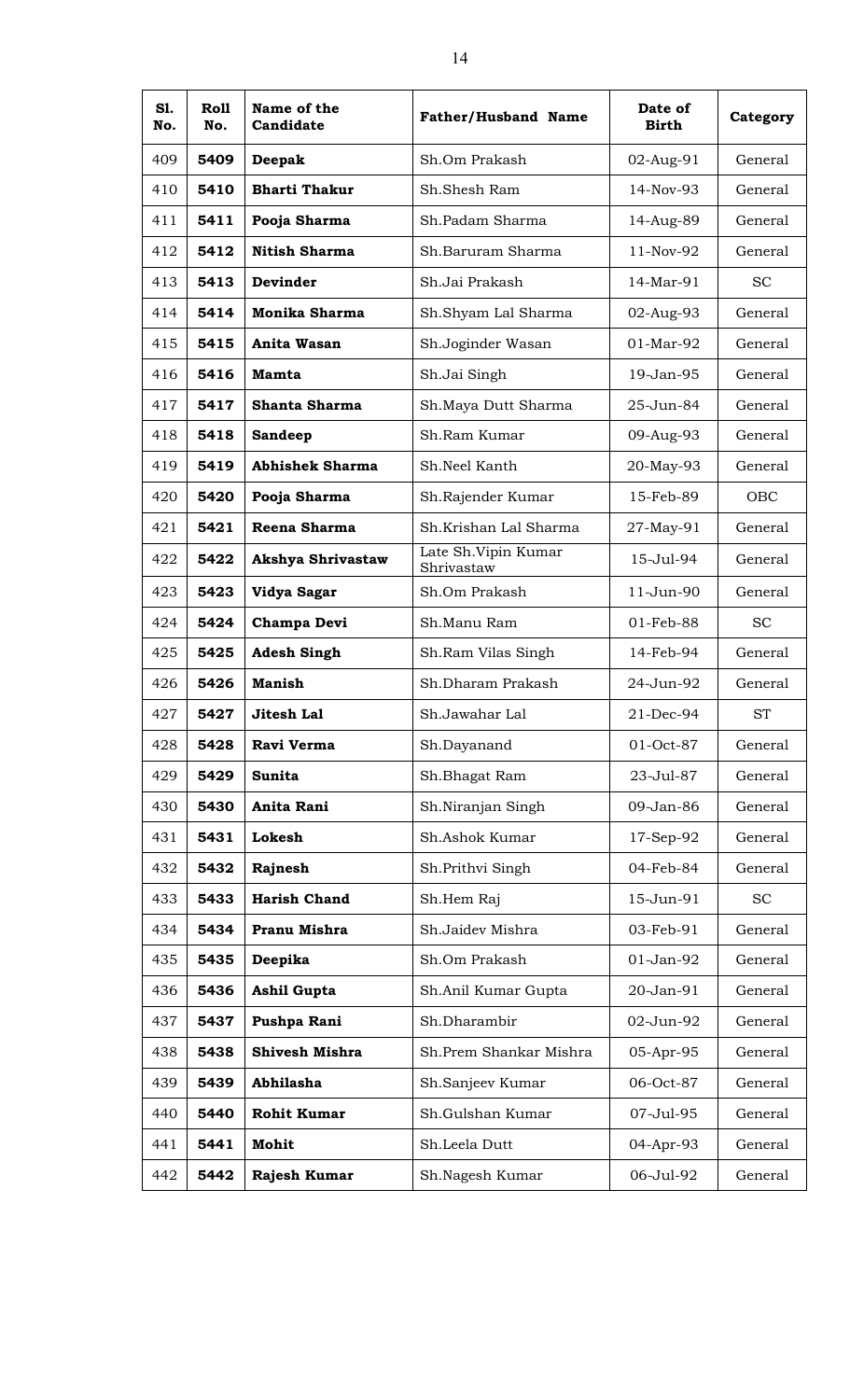| S1.<br>No. | <b>Roll</b><br>No. | Name of the<br>Candidate | <b>Father/Husband Name</b>         | Date of<br><b>Birth</b> | Category   |
|------------|--------------------|--------------------------|------------------------------------|-------------------------|------------|
| 409        | 5409               | Deepak                   | Sh.Om Prakash                      | 02-Aug-91               | General    |
| 410        | 5410               | <b>Bharti Thakur</b>     | Sh.Shesh Ram                       | $14-Nov-93$             | General    |
| 411        | 5411               | Pooja Sharma             | Sh.Padam Sharma                    | 14-Aug-89               | General    |
| 412        | 5412               | <b>Nitish Sharma</b>     | Sh.Baruram Sharma                  | 11-Nov-92               | General    |
| 413        | 5413               | <b>Devinder</b>          | Sh.Jai Prakash                     | 14-Mar-91               | <b>SC</b>  |
| 414        | 5414               | <b>Monika Sharma</b>     | Sh.Shyam Lal Sharma                | 02-Aug-93               | General    |
| 415        | 5415               | Anita Wasan              | Sh.Joginder Wasan                  | $01-Mar-92$             | General    |
| 416        | 5416               | <b>Mamta</b>             | Sh.Jai Singh                       | 19-Jan-95               | General    |
| 417        | 5417               | <b>Shanta Sharma</b>     | Sh.Maya Dutt Sharma                | 25-Jun-84               | General    |
| 418        | 5418               | <b>Sandeep</b>           | Sh.Ram Kumar                       | 09-Aug-93               | General    |
| 419        | 5419               | <b>Abhishek Sharma</b>   | Sh.Neel Kanth                      | 20-May-93               | General    |
| 420        | 5420               | Pooja Sharma             | Sh.Rajender Kumar                  | 15-Feb-89               | <b>OBC</b> |
| 421        | 5421               | Reena Sharma             | Sh.Krishan Lal Sharma              | 27-May-91               | General    |
| 422        | 5422               | <b>Akshya Shrivastaw</b> | Late Sh. Vipin Kumar<br>Shrivastaw | 15-Jul-94               | General    |
| 423        | 5423               | Vidya Sagar              | Sh.Om Prakash                      | 11-Jun-90               | General    |
| 424        | 5424               | Champa Devi              | Sh.Manu Ram                        | 01-Feb-88               | <b>SC</b>  |
| 425        | 5425               | <b>Adesh Singh</b>       | Sh.Ram Vilas Singh                 | 14-Feb-94               | General    |
| 426        | 5426               | <b>Manish</b>            | Sh.Dharam Prakash                  | 24-Jun-92               | General    |
| 427        | 5427               | Jitesh Lal               | Sh.Jawahar Lal                     | $21$ -Dec-94            | ST         |
| 428        | 5428               | Ravi Verma               | Sh.Dayanand                        | 01-Oct-87               | General    |
| 429        | 5429               | Sunita                   | Sh.Bhagat Ram                      | 23-Jul-87               | General    |
| 430        | 5430               | Anita Rani               | Sh.Niranjan Singh                  | 09-Jan-86               | General    |
| 431        | 5431               | Lokesh                   | Sh.Ashok Kumar                     | 17-Sep-92               | General    |
| 432        | 5432               | Rajnesh                  | Sh. Prithvi Singh                  | 04-Feb-84               | General    |
| 433        | 5433               | <b>Harish Chand</b>      | Sh.Hem Raj                         | 15-Jun-91               | <b>SC</b>  |
| 434        | 5434               | Pranu Mishra             | Sh.Jaidev Mishra                   | 03-Feb-91               | General    |
| 435        | 5435               | Deepika                  | Sh.Om Prakash                      | 01-Jan-92               | General    |
| 436        | 5436               | Ashil Gupta              | Sh.Anil Kumar Gupta                | 20-Jan-91               | General    |
| 437        | 5437               | Pushpa Rani              | Sh.Dharambir                       | 02-Jun-92               | General    |
| 438        | 5438               | Shivesh Mishra           | Sh.Prem Shankar Mishra             | 05-Apr-95               | General    |
| 439        | 5439               | Abhilasha                | Sh.Sanjeev Kumar                   | 06-Oct-87               | General    |
| 440        | 5440               | <b>Rohit Kumar</b>       | Sh.Gulshan Kumar                   | 07-Jul-95               | General    |
| 441        | 5441               | Mohit                    | Sh.Leela Dutt                      | 04-Apr-93               | General    |
| 442        | 5442               | Rajesh Kumar             | Sh.Nagesh Kumar                    | 06-Jul-92               | General    |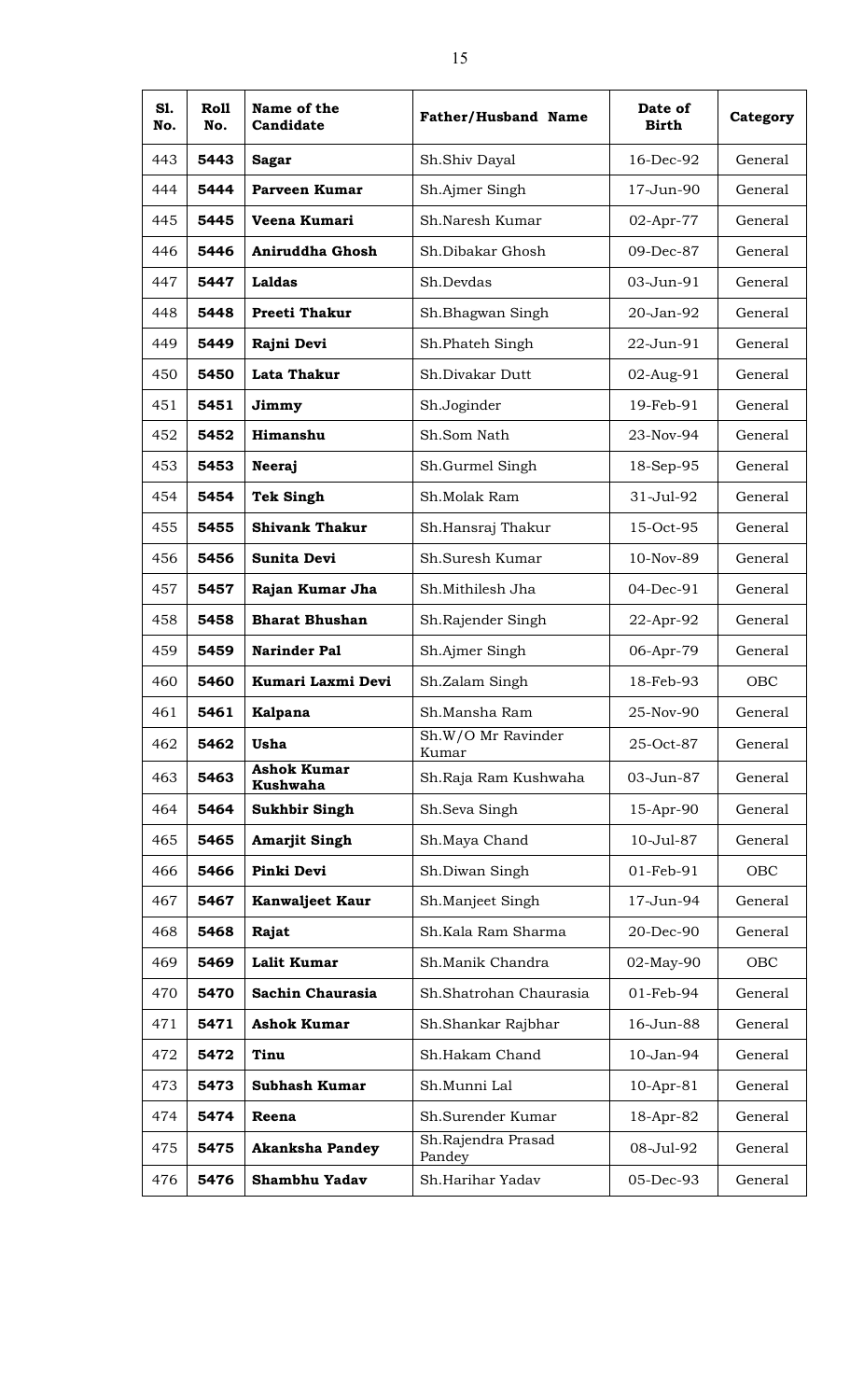| S1.<br>No. | Roll<br>No. | Name of the<br>Candidate              | <b>Father/Husband Name</b>   | Date of<br><b>Birth</b> | Category |
|------------|-------------|---------------------------------------|------------------------------|-------------------------|----------|
| 443        | 5443        | <b>Sagar</b>                          | Sh.Shiv Dayal                | 16-Dec-92               | General  |
| 444        | 5444        | <b>Parveen Kumar</b>                  | Sh.Ajmer Singh               | 17-Jun-90               | General  |
| 445        | 5445        | Veena Kumari                          | Sh.Naresh Kumar              | 02-Apr-77               | General  |
| 446        | 5446        | Aniruddha Ghosh                       | Sh.Dibakar Ghosh             | 09-Dec-87               | General  |
| 447        | 5447        | Laldas                                | Sh.Devdas                    | 03-Jun-91               | General  |
| 448        | 5448        | <b>Preeti Thakur</b>                  | Sh.Bhagwan Singh             | 20-Jan-92               | General  |
| 449        | 5449        | Rajni Devi                            | Sh.Phateh Singh              | 22-Jun-91               | General  |
| 450        | 5450        | Lata Thakur                           | Sh.Divakar Dutt              | 02-Aug-91               | General  |
| 451        | 5451        | Jimmy                                 | Sh.Joginder                  | 19-Feb-91               | General  |
| 452        | 5452        | Himanshu                              | Sh.Som Nath                  | 23-Nov-94               | General  |
| 453        | 5453        | Neeraj                                | Sh.Gurmel Singh              | 18-Sep-95               | General  |
| 454        | 5454        | <b>Tek Singh</b>                      | Sh.Molak Ram                 | 31-Jul-92               | General  |
| 455        | 5455        | <b>Shivank Thakur</b>                 | Sh.Hansraj Thakur            | 15-Oct-95               | General  |
| 456        | 5456        | <b>Sunita Devi</b>                    | Sh.Suresh Kumar              | 10-Nov-89               | General  |
| 457        | 5457        | Rajan Kumar Jha                       | Sh.Mithilesh Jha             | 04-Dec-91               | General  |
| 458        | 5458        | <b>Bharat Bhushan</b>                 | Sh.Rajender Singh            | 22-Apr-92               | General  |
| 459        | 5459        | <b>Narinder Pal</b>                   | Sh.Ajmer Singh               | 06-Apr-79               | General  |
| 460        | 5460        | Kumari Laxmi Devi                     | Sh.Zalam Singh               | 18-Feb-93               | OBC      |
| 461        | 5461        | Kalpana                               | Sh.Mansha Ram                | 25-Nov-90               | General  |
| 462        | 5462        | <b>Usha</b>                           | Sh.W/O Mr Ravinder<br>Kumar  | 25-Oct-87               | General  |
| 463        | 5463        | <b>Ashok Kumar</b><br><b>Kushwaha</b> | Sh.Raja Ram Kushwaha         | 03-Jun-87               | General  |
| 464        | 5464        | <b>Sukhbir Singh</b>                  | Sh.Seva Singh                | 15-Apr-90               | General  |
| 465        | 5465        | <b>Amarjit Singh</b>                  | Sh.Maya Chand                | 10-Jul-87               | General  |
| 466        | 5466        | Pinki Devi                            | Sh.Diwan Singh               | 01-Feb-91               | OBC      |
| 467        | 5467        | <b>Kanwaljeet Kaur</b>                | Sh.Manjeet Singh             | 17-Jun-94               | General  |
| 468        | 5468        | Rajat                                 | Sh.Kala Ram Sharma           | 20-Dec-90               | General  |
| 469        | 5469        | <b>Lalit Kumar</b>                    | Sh.Manik Chandra             | 02-May-90               | OBC      |
| 470        | 5470        | Sachin Chaurasia                      | Sh.Shatrohan Chaurasia       | 01-Feb-94               | General  |
| 471        | 5471        | <b>Ashok Kumar</b>                    | Sh.Shankar Rajbhar           | 16-Jun-88               | General  |
| 472        | 5472        | Tinu                                  | Sh.Hakam Chand               | 10-Jan-94               | General  |
| 473        | 5473        | <b>Subhash Kumar</b>                  | Sh.Munni Lal                 | $10$ -Apr- $81$         | General  |
| 474        | 5474        | Reena                                 | Sh.Surender Kumar            | 18-Apr-82               | General  |
| 475        | 5475        | <b>Akanksha Pandey</b>                | Sh.Rajendra Prasad<br>Pandey | 08-Jul-92               | General  |
| 476        | 5476        | Shambhu Yadav                         | Sh.Harihar Yadav             | 05-Dec-93               | General  |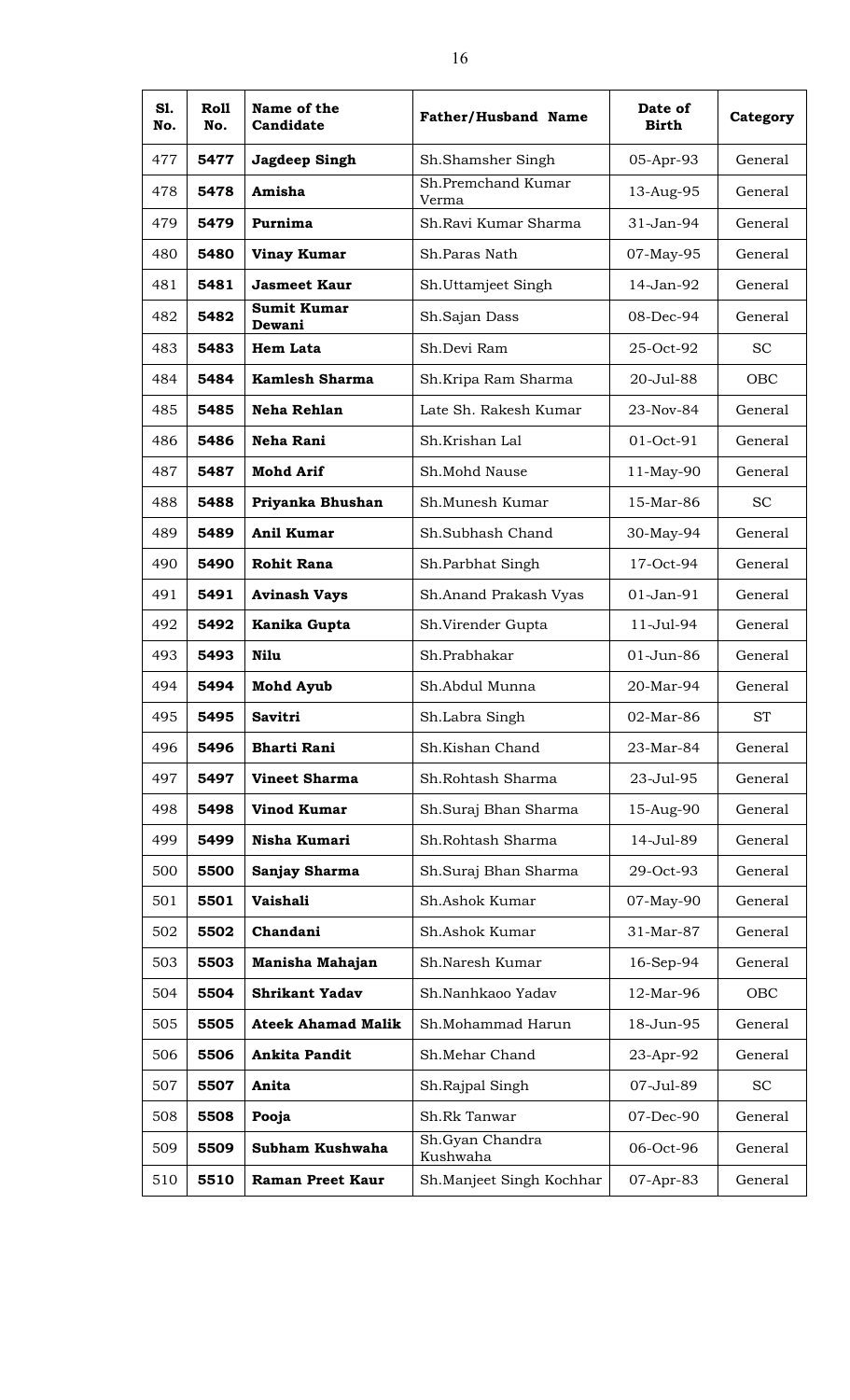| S1.<br>No. | <b>Roll</b><br>No. | Name of the<br>Candidate     | <b>Father/Husband Name</b>  | Date of<br><b>Birth</b> | Category  |
|------------|--------------------|------------------------------|-----------------------------|-------------------------|-----------|
| 477        | 5477               | Jagdeep Singh                | Sh.Shamsher Singh           | 05-Apr-93               | General   |
| 478        | 5478               | Amisha                       | Sh.Premchand Kumar<br>Verma | 13-Aug-95               | General   |
| 479        | 5479               | Purnima                      | Sh.Ravi Kumar Sharma        | 31-Jan-94               | General   |
| 480        | 5480               | <b>Vinay Kumar</b>           | Sh.Paras Nath               | 07-May-95               | General   |
| 481        | 5481               | <b>Jasmeet Kaur</b>          | Sh.Uttamjeet Singh          | 14-Jan-92               | General   |
| 482        | 5482               | <b>Sumit Kumar</b><br>Dewani | Sh.Sajan Dass               | 08-Dec-94               | General   |
| 483        | 5483               | <b>Hem Lata</b>              | Sh.Devi Ram                 | 25-Oct-92               | <b>SC</b> |
| 484        | 5484               | <b>Kamlesh Sharma</b>        | Sh.Kripa Ram Sharma         | 20-Jul-88               | OBC       |
| 485        | 5485               | Neha Rehlan                  | Late Sh. Rakesh Kumar       | 23-Nov-84               | General   |
| 486        | 5486               | Neha Rani                    | Sh.Krishan Lal              | 01-Oct-91               | General   |
| 487        | 5487               | <b>Mohd Arif</b>             | Sh.Mohd Nause               | 11-May-90               | General   |
| 488        | 5488               | Priyanka Bhushan             | Sh.Munesh Kumar             | 15-Mar-86               | <b>SC</b> |
| 489        | 5489               | Anil Kumar                   | Sh.Subhash Chand            | 30-May-94               | General   |
| 490        | 5490               | <b>Rohit Rana</b>            | Sh.Parbhat Singh            | 17-Oct-94               | General   |
| 491        | 5491               | <b>Avinash Vays</b>          | Sh.Anand Prakash Vyas       | $01$ -Jan- $91$         | General   |
| 492        | 5492               | Kanika Gupta                 | Sh.Virender Gupta           | $11 -$ Jul $-94$        | General   |
| 493        | 5493               | Nilu                         | Sh.Prabhakar                | $01$ -Jun-86            | General   |
| 494        | 5494               | <b>Mohd Ayub</b>             | Sh.Abdul Munna              | 20-Mar-94               | General   |
| 495        | 5495               | <b>Savitri</b>               | Sh.Labra Singh              | 02-Mar-86               | <b>ST</b> |
| 496        | 5496               | <b>Bharti Rani</b>           | Sh.Kishan Chand             | 23-Mar-84               | General   |
| 497        | 5497               | <b>Vineet Sharma</b>         | Sh.Rohtash Sharma           | 23-Jul-95               | General   |
| 498        | 5498               | <b>Vinod Kumar</b>           | Sh.Suraj Bhan Sharma        | 15-Aug-90               | General   |
| 499        | 5499               | Nisha Kumari                 | Sh.Rohtash Sharma           | 14-Jul-89               | General   |
| 500        | 5500               | Sanjay Sharma                | Sh.Suraj Bhan Sharma        | 29-Oct-93               | General   |
| 501        | 5501               | Vaishali                     | Sh.Ashok Kumar              | 07-May-90               | General   |
| 502        | 5502               | Chandani                     | Sh.Ashok Kumar              | 31-Mar-87               | General   |
| 503        | 5503               | Manisha Mahajan              | Sh.Naresh Kumar             | 16-Sep-94               | General   |
| 504        | 5504               | <b>Shrikant Yadav</b>        | Sh.Nanhkaoo Yadav           | 12-Mar-96               | OBC       |
| 505        | 5505               | <b>Ateek Ahamad Malik</b>    | Sh.Mohammad Harun           | 18-Jun-95               | General   |
| 506        | 5506               | Ankita Pandit                | Sh.Mehar Chand              | 23-Apr-92               | General   |
| 507        | 5507               | Anita                        | Sh.Rajpal Singh             | 07-Jul-89               | <b>SC</b> |
| 508        | 5508               | Pooja                        | Sh.Rk Tanwar                | 07-Dec-90               | General   |
| 509        | 5509               | Subham Kushwaha              | Sh.Gyan Chandra<br>Kushwaha | 06-Oct-96               | General   |
| 510        | 5510               | <b>Raman Preet Kaur</b>      | Sh.Manjeet Singh Kochhar    | 07-Apr-83               | General   |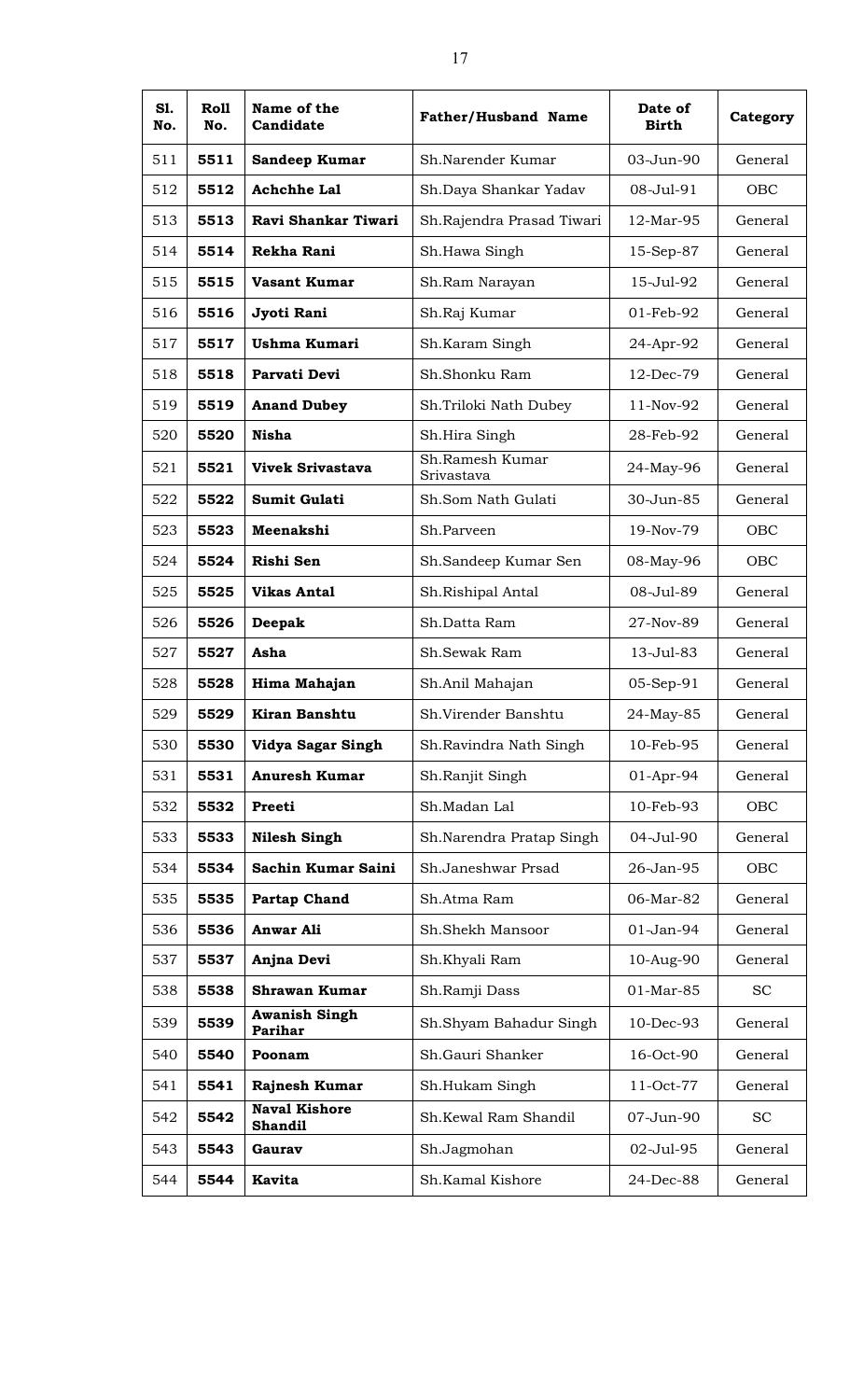| S1.<br>No. | Roll<br>No. | Name of the<br>Candidate               | <b>Father/Husband Name</b>    | Date of<br><b>Birth</b> | Category  |
|------------|-------------|----------------------------------------|-------------------------------|-------------------------|-----------|
| 511        | 5511        | Sandeep Kumar                          | Sh.Narender Kumar             | 03-Jun-90               | General   |
| 512        | 5512        | <b>Achchhe Lal</b>                     | Sh.Daya Shankar Yadav         | 08-Jul-91               | OBC       |
| 513        | 5513        | Ravi Shankar Tiwari                    | Sh.Rajendra Prasad Tiwari     | 12-Mar-95               | General   |
| 514        | 5514        | Rekha Rani                             | Sh.Hawa Singh                 | 15-Sep-87               | General   |
| 515        | 5515        | <b>Vasant Kumar</b>                    | Sh.Ram Narayan                | 15-Jul-92               | General   |
| 516        | 5516        | Jyoti Rani                             | Sh.Raj Kumar                  | 01-Feb-92               | General   |
| 517        | 5517        | <b>Ushma Kumari</b>                    | Sh.Karam Singh                | 24-Apr-92               | General   |
| 518        | 5518        | Parvati Devi                           | Sh.Shonku Ram                 | 12-Dec-79               | General   |
| 519        | 5519        | <b>Anand Dubey</b>                     | Sh.Triloki Nath Dubey         | 11-Nov-92               | General   |
| 520        | 5520        | <b>Nisha</b>                           | Sh.Hira Singh                 | 28-Feb-92               | General   |
| 521        | 5521        | <b>Vivek Srivastava</b>                | Sh.Ramesh Kumar<br>Srivastava | 24-May-96               | General   |
| 522        | 5522        | <b>Sumit Gulati</b>                    | Sh.Som Nath Gulati            | 30-Jun-85               | General   |
| 523        | 5523        | Meenakshi                              | Sh.Parveen                    | 19-Nov-79               | OBC       |
| 524        | 5524        | Rishi Sen                              | Sh.Sandeep Kumar Sen          | 08-May-96               | OBC       |
| 525        | 5525        | <b>Vikas Antal</b>                     | Sh.Rishipal Antal             | 08-Jul-89               | General   |
| 526        | 5526        | Deepak                                 | Sh.Datta Ram                  | 27-Nov-89               | General   |
| 527        | 5527        | Asha                                   | Sh.Sewak Ram                  | 13-Jul-83               | General   |
| 528        | 5528        | Hima Mahajan                           | Sh.Anil Mahajan               | 05-Sep-91               | General   |
| 529        | 5529        | Kiran Banshtu                          | Sh.Virender Banshtu           | 24-May-85               | General   |
| 530        | 5530        | Vidya Sagar Singh                      | Sh.Ravindra Nath Singh        | 10-Feb-95               | General   |
| 531        | 5531        | <b>Anuresh Kumar</b>                   | Sh.Ranjit Singh               | 01-Apr-94               | General   |
| 532        | 5532        | Preeti                                 | Sh.Madan Lal                  | 10-Feb-93               | OBC       |
| 533        | 5533        | <b>Nilesh Singh</b>                    | Sh.Narendra Pratap Singh      | 04-Jul-90               | General   |
| 534        | 5534        | Sachin Kumar Saini                     | Sh.Janeshwar Prsad            | 26-Jan-95               | OBC       |
| 535        | 5535        | <b>Partap Chand</b>                    | Sh.Atma Ram                   | 06-Mar-82               | General   |
| 536        | 5536        | <b>Anwar Ali</b>                       | Sh.Shekh Mansoor              | 01-Jan-94               | General   |
| 537        | 5537        | Anjna Devi                             | Sh.Khyali Ram                 | 10-Aug-90               | General   |
| 538        | 5538        | <b>Shrawan Kumar</b>                   | Sh.Ramji Dass                 | 01-Mar-85               | <b>SC</b> |
| 539        | 5539        | <b>Awanish Singh</b><br>Parihar        | Sh.Shyam Bahadur Singh        | 10-Dec-93               | General   |
| 540        | 5540        | Poonam                                 | Sh.Gauri Shanker              | 16-Oct-90               | General   |
| 541        | 5541        | Rajnesh Kumar                          | Sh.Hukam Singh                | 11-Oct-77               | General   |
| 542        | 5542        | <b>Naval Kishore</b><br><b>Shandil</b> | Sh.Kewal Ram Shandil          | 07-Jun-90               | <b>SC</b> |
| 543        | 5543        | Gaurav                                 | Sh.Jagmohan                   | 02-Jul-95               | General   |
| 544        | 5544        | <b>Kavita</b>                          | Sh.Kamal Kishore              | 24-Dec-88               | General   |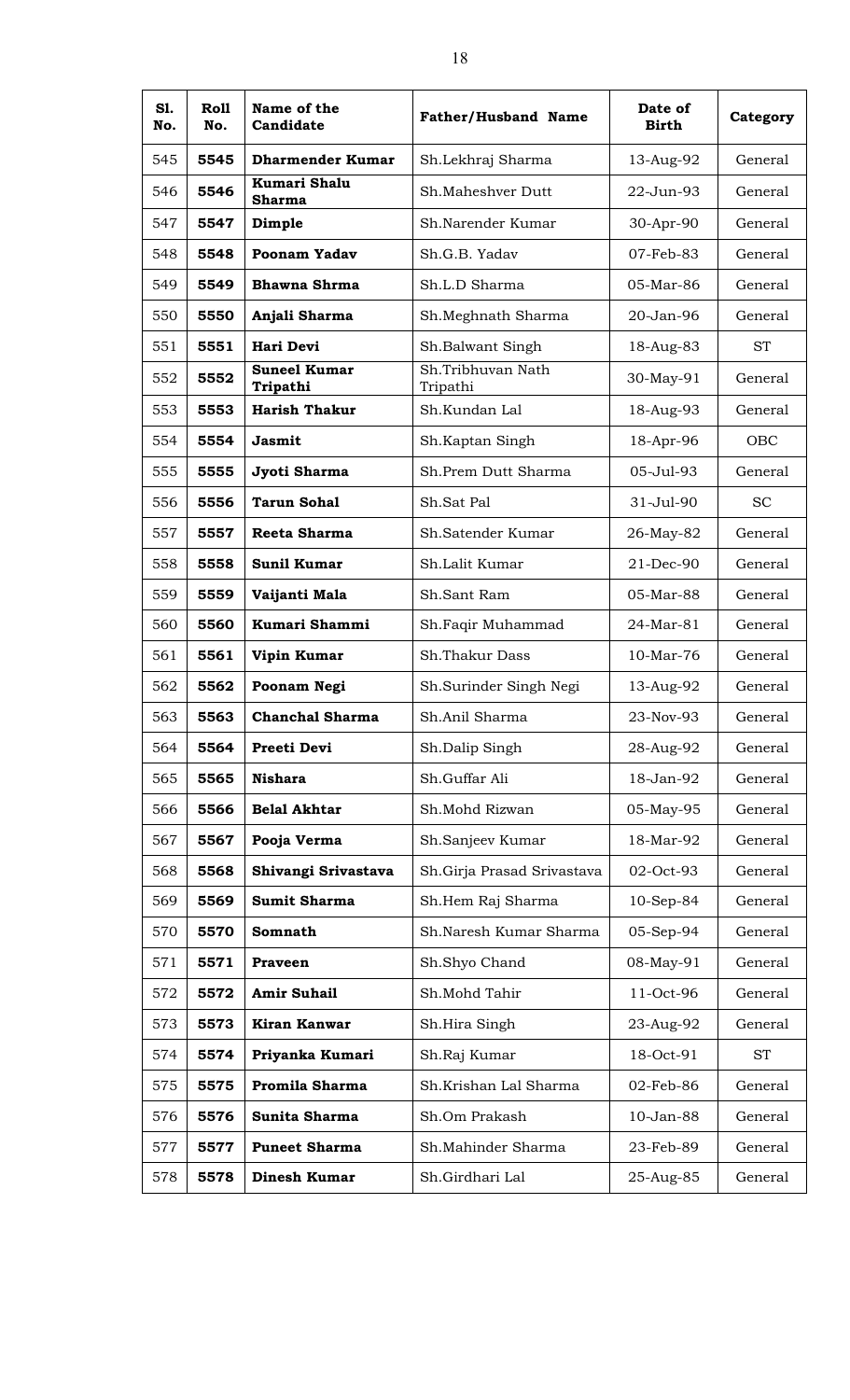| S1.<br>No. | Roll<br>No. | Name of the<br>Candidate             | <b>Father/Husband Name</b>    | Date of<br><b>Birth</b> | Category   |
|------------|-------------|--------------------------------------|-------------------------------|-------------------------|------------|
| 545        | 5545        | <b>Dharmender Kumar</b>              | Sh.Lekhraj Sharma             | 13-Aug-92               | General    |
| 546        | 5546        | <b>Kumari Shalu</b><br><b>Sharma</b> | Sh.Maheshver Dutt             | 22-Jun-93               | General    |
| 547        | 5547        | Dimple                               | Sh.Narender Kumar             | 30-Apr-90               | General    |
| 548        | 5548        | Poonam Yadav                         | Sh.G.B. Yadav                 | 07-Feb-83               | General    |
| 549        | 5549        | <b>Bhawna Shrma</b>                  | Sh.L.D Sharma                 | 05-Mar-86               | General    |
| 550        | 5550        | Anjali Sharma                        | Sh.Meghnath Sharma            | 20-Jan-96               | General    |
| 551        | 5551        | Hari Devi                            | Sh.Balwant Singh              | 18-Aug-83               | <b>ST</b>  |
| 552        | 5552        | <b>Suneel Kumar</b><br>Tripathi      | Sh.Tribhuvan Nath<br>Tripathi | 30-May-91               | General    |
| 553        | 5553        | <b>Harish Thakur</b>                 | Sh.Kundan Lal                 | 18-Aug-93               | General    |
| 554        | 5554        | <b>Jasmit</b>                        | Sh.Kaptan Singh               | 18-Apr-96               | <b>OBC</b> |
| 555        | 5555        | Jyoti Sharma                         | Sh.Prem Dutt Sharma           | 05-Jul-93               | General    |
| 556        | 5556        | <b>Tarun Sohal</b>                   | Sh.Sat Pal                    | 31-Jul-90               | <b>SC</b>  |
| 557        | 5557        | Reeta Sharma                         | Sh.Satender Kumar             | 26-May-82               | General    |
| 558        | 5558        | <b>Sunil Kumar</b>                   | Sh.Lalit Kumar                | 21-Dec-90               | General    |
| 559        | 5559        | Vaijanti Mala                        | Sh.Sant Ram                   | 05-Mar-88               | General    |
| 560        | 5560        | Kumari Shammi                        | Sh.Faqir Muhammad             | 24-Mar-81               | General    |
| 561        | 5561        | Vipin Kumar                          | Sh.Thakur Dass                | $10-Mar-76$             | General    |
| 562        | 5562        | Poonam Negi                          | Sh.Surinder Singh Negi        | 13-Aug-92               | General    |
| 563        | 5563        | <b>Chanchal Sharma</b>               | Sh.Anil Sharma                | 23-Nov-93               | General    |
| 564        | 5564        | Preeti Devi                          | Sh.Dalip Singh                | 28-Aug-92               | General    |
| 565        | 5565        | <b>Nishara</b>                       | Sh.Guffar Ali                 | 18-Jan-92               | General    |
| 566        | 5566        | <b>Belal Akhtar</b>                  | Sh.Mohd Rizwan                | 05-May-95               | General    |
| 567        | 5567        | Pooja Verma                          | Sh.Sanjeev Kumar              | 18-Mar-92               | General    |
| 568        | 5568        | Shivangi Srivastava                  | Sh. Girja Prasad Srivastava   | 02-Oct-93               | General    |
| 569        | 5569        | <b>Sumit Sharma</b>                  | Sh.Hem Raj Sharma             | $10-Sep-84$             | General    |
| 570        | 5570        | Somnath                              | Sh.Naresh Kumar Sharma        | 05-Sep-94               | General    |
| 571        | 5571        | <b>Praveen</b>                       | Sh.Shyo Chand                 | 08-May-91               | General    |
| 572        | 5572        | <b>Amir Suhail</b>                   | Sh.Mohd Tahir                 | 11-Oct-96               | General    |
| 573        | 5573        | Kiran Kanwar                         | Sh.Hira Singh                 | 23-Aug-92               | General    |
| 574        | 5574        | Priyanka Kumari                      | Sh.Raj Kumar                  | 18-Oct-91               | <b>ST</b>  |
| 575        | 5575        | Promila Sharma                       | Sh.Krishan Lal Sharma         | 02-Feb-86               | General    |
| 576        | 5576        | Sunita Sharma                        | Sh.Om Prakash                 | 10-Jan-88               | General    |
| 577        | 5577        | <b>Puneet Sharma</b>                 | Sh.Mahinder Sharma            | 23-Feb-89               | General    |
| 578        | 5578        | Dinesh Kumar                         | Sh.Girdhari Lal               | 25-Aug-85               | General    |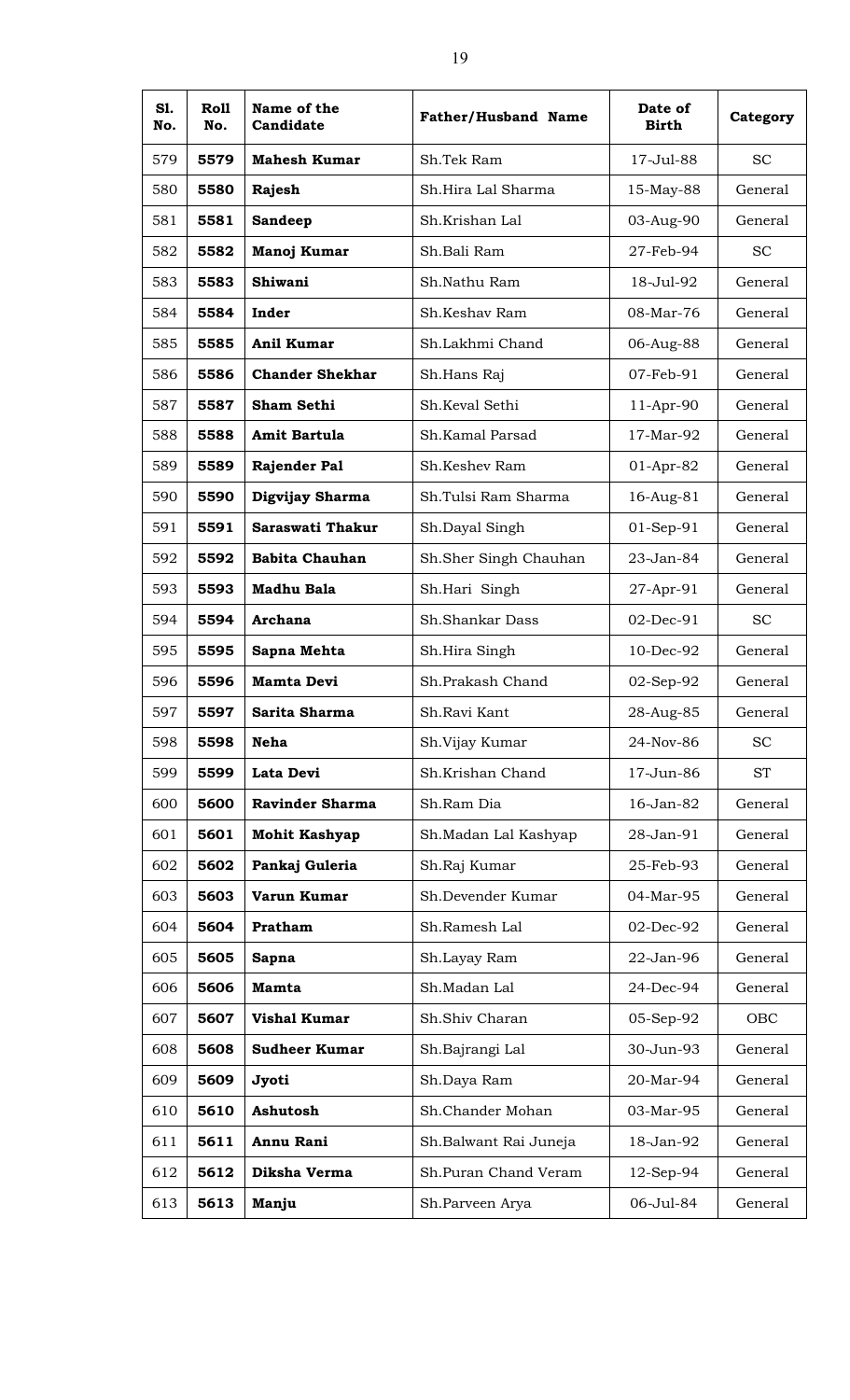| S1.<br>No. | Roll<br>No. | Name of the<br>Candidate | <b>Father/Husband Name</b> | Date of<br><b>Birth</b> | Category  |
|------------|-------------|--------------------------|----------------------------|-------------------------|-----------|
| 579        | 5579        | <b>Mahesh Kumar</b>      | Sh.Tek Ram                 | 17-Jul-88               | <b>SC</b> |
| 580        | 5580        | Rajesh                   | Sh.Hira Lal Sharma         | 15-May-88               | General   |
| 581        | 5581        | <b>Sandeep</b>           | Sh.Krishan Lal             | 03-Aug-90               | General   |
| 582        | 5582        | Manoj Kumar              | Sh.Bali Ram                | 27-Feb-94               | <b>SC</b> |
| 583        | 5583        | Shiwani                  | Sh.Nathu Ram               | 18-Jul-92               | General   |
| 584        | 5584        | Inder                    | Sh.Keshav Ram              | 08-Mar-76               | General   |
| 585        | 5585        | <b>Anil Kumar</b>        | Sh.Lakhmi Chand            | 06-Aug-88               | General   |
| 586        | 5586        | <b>Chander Shekhar</b>   | Sh.Hans Raj                | 07-Feb-91               | General   |
| 587        | 5587        | Sham Sethi               | Sh.Keval Sethi             | 11-Apr-90               | General   |
| 588        | 5588        | Amit Bartula             | Sh.Kamal Parsad            | 17-Mar-92               | General   |
| 589        | 5589        | <b>Rajender Pal</b>      | Sh.Keshev Ram              | 01-Apr-82               | General   |
| 590        | 5590        | Digvijay Sharma          | Sh.Tulsi Ram Sharma        | 16-Aug-81               | General   |
| 591        | 5591        | Saraswati Thakur         | Sh.Dayal Singh             | $01-Sep-91$             | General   |
| 592        | 5592        | <b>Babita Chauhan</b>    | Sh.Sher Singh Chauhan      | 23-Jan-84               | General   |
| 593        | 5593        | <b>Madhu Bala</b>        | Sh.Hari Singh              | 27-Apr-91               | General   |
| 594        | 5594        | Archana                  | Sh.Shankar Dass            | 02-Dec-91               | <b>SC</b> |
| 595        | 5595        | Sapna Mehta              | Sh.Hira Singh              | 10-Dec-92               | General   |
| 596        | 5596        | <b>Mamta Devi</b>        | Sh.Prakash Chand           | 02-Sep-92               | General   |
| 597        | 5597        | Sarita Sharma            | Sh.Ravi Kant               | 28-Aug-85               | General   |
| 598        | 5598        | <b>Neha</b>              | Sh.Vijay Kumar             | 24-Nov-86               | <b>SC</b> |
| 599        | 5599        | Lata Devi                | Sh.Krishan Chand           | 17-Jun-86               | <b>ST</b> |
| 600        | 5600        | <b>Ravinder Sharma</b>   | Sh.Ram Dia                 | 16-Jan-82               | General   |
| 601        | 5601        | <b>Mohit Kashyap</b>     | Sh.Madan Lal Kashyap       | 28-Jan-91               | General   |
| 602        | 5602        | Pankaj Guleria           | Sh.Raj Kumar               | 25-Feb-93               | General   |
| 603        | 5603        | Varun Kumar              | Sh.Devender Kumar          | 04-Mar-95               | General   |
| 604        | 5604        | Pratham                  | Sh.Ramesh Lal              | 02-Dec-92               | General   |
| 605        | 5605        | Sapna                    | Sh.Layay Ram               | 22-Jan-96               | General   |
| 606        | 5606        | <b>Mamta</b>             | Sh.Madan Lal               | 24-Dec-94               | General   |
| 607        | 5607        | <b>Vishal Kumar</b>      | Sh.Shiv Charan             | 05-Sep-92               | OBC       |
| 608        | 5608        | <b>Sudheer Kumar</b>     | Sh.Bajrangi Lal            | 30-Jun-93               | General   |
| 609        | 5609        | Jyoti                    | Sh.Daya Ram                | 20-Mar-94               | General   |
| 610        | 5610        | Ashutosh                 | Sh.Chander Mohan           | 03-Mar-95               | General   |
| 611        | 5611        | Annu Rani                | Sh.Balwant Rai Juneja      | 18-Jan-92               | General   |
| 612        | 5612        | Diksha Verma             | Sh.Puran Chand Veram       | 12-Sep-94               | General   |
| 613        | 5613        | Manju                    | Sh.Parveen Arya            | 06-Jul-84               | General   |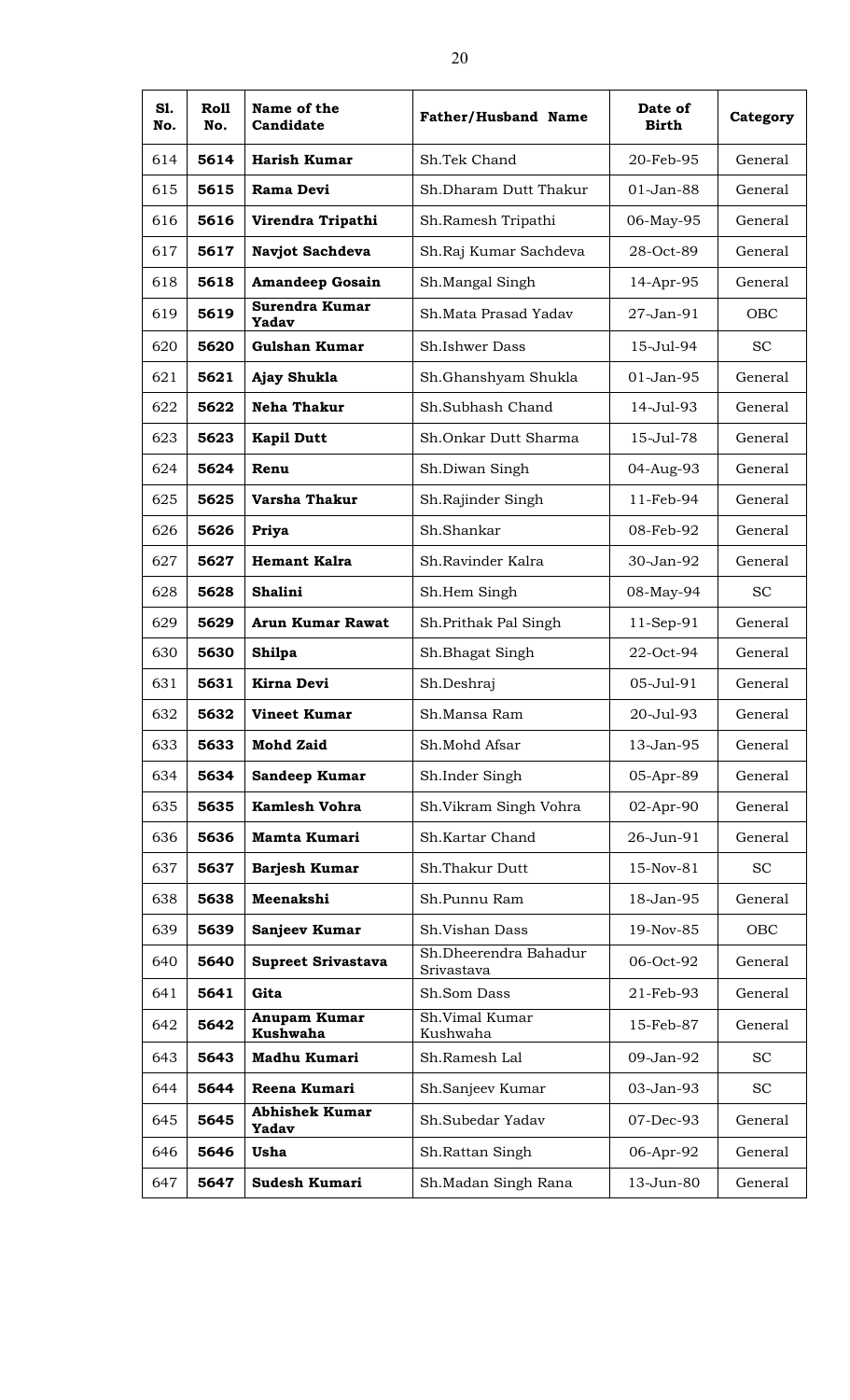| S1.<br>No. | Roll<br>No. | Name of the<br>Candidate              | <b>Father/Husband Name</b>          | Date of<br><b>Birth</b> | Category  |
|------------|-------------|---------------------------------------|-------------------------------------|-------------------------|-----------|
| 614        | 5614        | <b>Harish Kumar</b>                   | Sh.Tek Chand                        | 20-Feb-95               | General   |
| 615        | 5615        | Rama Devi                             | Sh.Dharam Dutt Thakur               | $01 - Jan-88$           | General   |
| 616        | 5616        | Virendra Tripathi                     | Sh.Ramesh Tripathi                  | 06-May-95               | General   |
| 617        | 5617        | Navjot Sachdeva                       | Sh.Raj Kumar Sachdeva               | 28-Oct-89               | General   |
| 618        | 5618        | <b>Amandeep Gosain</b>                | Sh.Mangal Singh                     | 14-Apr-95               | General   |
| 619        | 5619        | Surendra Kumar<br>Yadav               | Sh. Mata Prasad Yadav               | 27-Jan-91               | OBC       |
| 620        | 5620        | Gulshan Kumar                         | <b>Sh.Ishwer Dass</b>               | 15-Jul-94               | <b>SC</b> |
| 621        | 5621        | Ajay Shukla                           | Sh.Ghanshyam Shukla                 | 01-Jan-95               | General   |
| 622        | 5622        | <b>Neha Thakur</b>                    | Sh.Subhash Chand                    | 14-Jul-93               | General   |
| 623        | 5623        | <b>Kapil Dutt</b>                     | Sh.Onkar Dutt Sharma                | 15-Jul-78               | General   |
| 624        | 5624        | Renu                                  | Sh.Diwan Singh                      | 04-Aug-93               | General   |
| 625        | 5625        | Varsha Thakur                         | Sh.Rajinder Singh                   | 11-Feb-94               | General   |
| 626        | 5626        | Priya                                 | Sh.Shankar                          | 08-Feb-92               | General   |
| 627        | 5627        | <b>Hemant Kalra</b>                   | Sh.Ravinder Kalra                   | 30-Jan-92               | General   |
| 628        | 5628        | Shalini                               | Sh.Hem Singh                        | 08-May-94               | SC.       |
| 629        | 5629        | <b>Arun Kumar Rawat</b>               | Sh.Prithak Pal Singh                | 11-Sep-91               | General   |
| 630        | 5630        | <b>Shilpa</b>                         | Sh.Bhagat Singh                     | 22-Oct-94               | General   |
| 631        | 5631        | <b>Kirna Devi</b>                     | Sh.Deshraj                          | 05-Jul-91               | General   |
| 632        | 5632        | <b>Vineet Kumar</b>                   | Sh.Mansa Ram                        | 20-Jul-93               | General   |
| 633        | 5633        | <b>Mohd Zaid</b>                      | Sh.Mohd Afsar                       | 13-Jan-95               | General   |
| 634        | 5634        | Sandeep Kumar                         | Sh.Inder Singh                      | 05-Apr-89               | General   |
| 635        | 5635        | <b>Kamlesh Vohra</b>                  | Sh.Vikram Singh Vohra               | 02-Apr-90               | General   |
| 636        | 5636        | <b>Mamta Kumari</b>                   | Sh.Kartar Chand                     | 26-Jun-91               | General   |
| 637        | 5637        | Barjesh Kumar                         | Sh.Thakur Dutt                      | 15-Nov-81               | <b>SC</b> |
| 638        | 5638        | Meenakshi                             | Sh.Punnu Ram                        | 18-Jan-95               | General   |
| 639        | 5639        | Sanjeev Kumar                         | Sh.Vishan Dass                      | 19-Nov-85               | OBC       |
| 640        | 5640        | <b>Supreet Srivastava</b>             | Sh.Dheerendra Bahadur<br>Srivastava | 06-Oct-92               | General   |
| 641        | 5641        | Gita                                  | Sh.Som Dass                         | 21-Feb-93               | General   |
| 642        | 5642        | Anupam Kumar<br><b>Kushwaha</b>       | Sh.Vimal Kumar<br>Kushwaha          | 15-Feb-87               | General   |
| 643        | 5643        | Madhu Kumari                          | Sh.Ramesh Lal                       | 09-Jan-92               | <b>SC</b> |
| 644        | 5644        | Reena Kumari                          | Sh.Sanjeev Kumar                    | 03-Jan-93               | <b>SC</b> |
| 645        | 5645        | <b>Abhishek Kumar</b><br><b>Yadav</b> | Sh.Subedar Yadav                    | 07-Dec-93               | General   |
| 646        | 5646        | Usha                                  | Sh.Rattan Singh                     | 06-Apr-92               | General   |
| 647        | 5647        | <b>Sudesh Kumari</b>                  | Sh.Madan Singh Rana                 | 13-Jun-80               | General   |